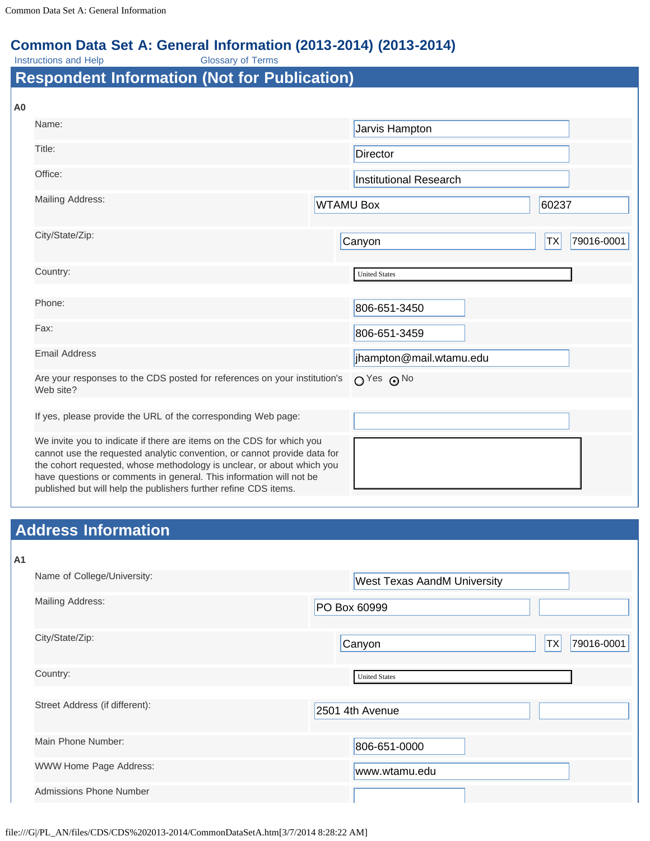# **Common Data Set A: General Information (2013-2014) (2013-2014)**

|    | <b>Instructions and Help</b>                                                                                                                                                                                                                                                                                                                                           | <b>Glossary of Terms</b> |                  |                               |           |            |
|----|------------------------------------------------------------------------------------------------------------------------------------------------------------------------------------------------------------------------------------------------------------------------------------------------------------------------------------------------------------------------|--------------------------|------------------|-------------------------------|-----------|------------|
|    | <b>Respondent Information (Not for Publication)</b>                                                                                                                                                                                                                                                                                                                    |                          |                  |                               |           |            |
| A0 |                                                                                                                                                                                                                                                                                                                                                                        |                          |                  |                               |           |            |
|    | Name:                                                                                                                                                                                                                                                                                                                                                                  |                          |                  | Jarvis Hampton                |           |            |
|    | Title:                                                                                                                                                                                                                                                                                                                                                                 |                          |                  | <b>Director</b>               |           |            |
|    | Office:                                                                                                                                                                                                                                                                                                                                                                |                          |                  | <b>Institutional Research</b> |           |            |
|    | Mailing Address:                                                                                                                                                                                                                                                                                                                                                       |                          | <b>WTAMU Box</b> |                               | 60237     |            |
|    | City/State/Zip:                                                                                                                                                                                                                                                                                                                                                        |                          |                  | Canyon                        | <b>TX</b> | 79016-0001 |
|    | Country:                                                                                                                                                                                                                                                                                                                                                               |                          |                  | <b>United States</b>          |           |            |
|    | Phone:                                                                                                                                                                                                                                                                                                                                                                 |                          |                  | 806-651-3450                  |           |            |
|    | Fax:                                                                                                                                                                                                                                                                                                                                                                   |                          |                  | 806-651-3459                  |           |            |
|    | <b>Email Address</b>                                                                                                                                                                                                                                                                                                                                                   |                          |                  | jhampton@mail.wtamu.edu       |           |            |
|    | Are your responses to the CDS posted for references on your institution's<br>Web site?                                                                                                                                                                                                                                                                                 |                          |                  | $OYes ONo$                    |           |            |
|    | If yes, please provide the URL of the corresponding Web page:                                                                                                                                                                                                                                                                                                          |                          |                  |                               |           |            |
|    | We invite you to indicate if there are items on the CDS for which you<br>cannot use the requested analytic convention, or cannot provide data for<br>the cohort requested, whose methodology is unclear, or about which you<br>have questions or comments in general. This information will not be<br>published but will help the publishers further refine CDS items. |                          |                  |                               |           |            |
|    |                                                                                                                                                                                                                                                                                                                                                                        |                          |                  |                               |           |            |
|    | <b>Address Information</b>                                                                                                                                                                                                                                                                                                                                             |                          |                  |                               |           |            |
| А1 |                                                                                                                                                                                                                                                                                                                                                                        |                          |                  |                               |           |            |

| Name of College/University:    | <b>West Texas AandM University</b> |
|--------------------------------|------------------------------------|
| <b>Mailing Address:</b>        | PO Box 60999                       |
| City/State/Zip:                | ТX<br>Canyon<br>79016-0001         |
| Country:                       | <b>United States</b>               |
| Street Address (if different): | 2501 4th Avenue                    |
| Main Phone Number:             | 806-651-0000                       |
| WWW Home Page Address:         | www.wtamu.edu                      |
| <b>Admissions Phone Number</b> |                                    |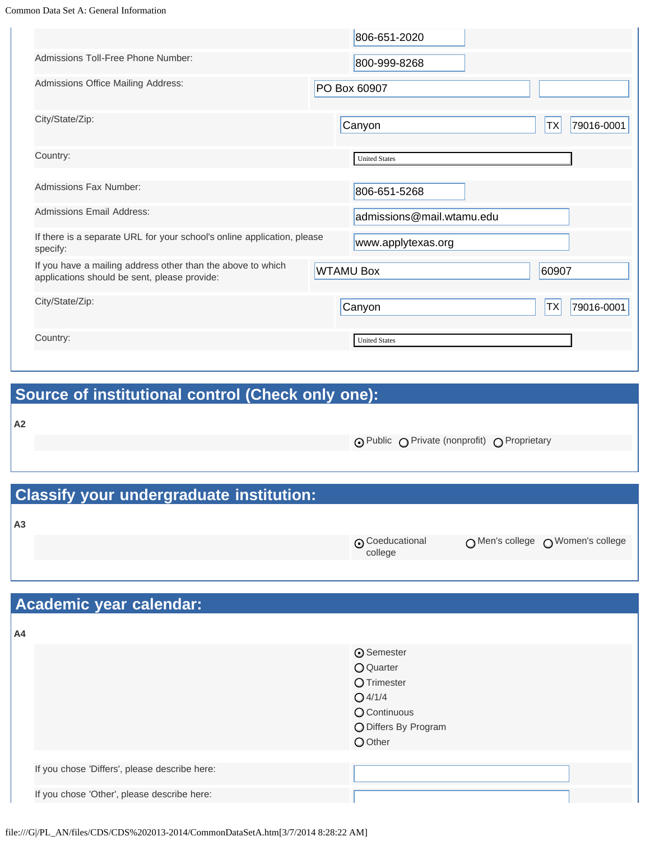| Country:                                                                                                    | <b>United States</b>       |
|-------------------------------------------------------------------------------------------------------------|----------------------------|
| City/State/Zip:                                                                                             | TХ<br>79016-0001<br>Canyon |
| If you have a mailing address other than the above to which<br>applications should be sent, please provide: | <b>WTAMU Box</b><br>60907  |
| If there is a separate URL for your school's online application, please<br>specify:                         | www.applytexas.org         |
| <b>Admissions Email Address:</b>                                                                            | admissions@mail.wtamu.edu  |
| Admissions Fax Number:                                                                                      | 806-651-5268               |
| Country:                                                                                                    | <b>United States</b>       |
| City/State/Zip:                                                                                             | 79016-0001<br>TХ<br>Canyon |
| Admissions Office Mailing Address:                                                                          | PO Box 60907               |
| Admissions Toll-Free Phone Number:                                                                          | 800-999-8268               |
|                                                                                                             | 806-651-2020               |

# **Source of institutional control (Check only one):**

**A2**

O Public O Private (nonprofit) O Proprietary

|  | <b>Classify your undergraduate institution:</b> |  |
|--|-------------------------------------------------|--|
|  |                                                 |  |

**A3**

| <b>O</b> Coeducational |
|------------------------|
| college                |

O Men's college O Women's college

# **Academic year calendar:**

| A4                                            |                                                                                                                                    |
|-----------------------------------------------|------------------------------------------------------------------------------------------------------------------------------------|
|                                               | <b>⊙</b> Semester<br><b>Q</b> Quarter<br><b>O</b> Trimester<br>$Q$ 4/1/4<br>O Continuous<br>O Differs By Program<br><b>O</b> Other |
| If you chose 'Differs', please describe here: |                                                                                                                                    |
| If you chose 'Other', please describe here:   |                                                                                                                                    |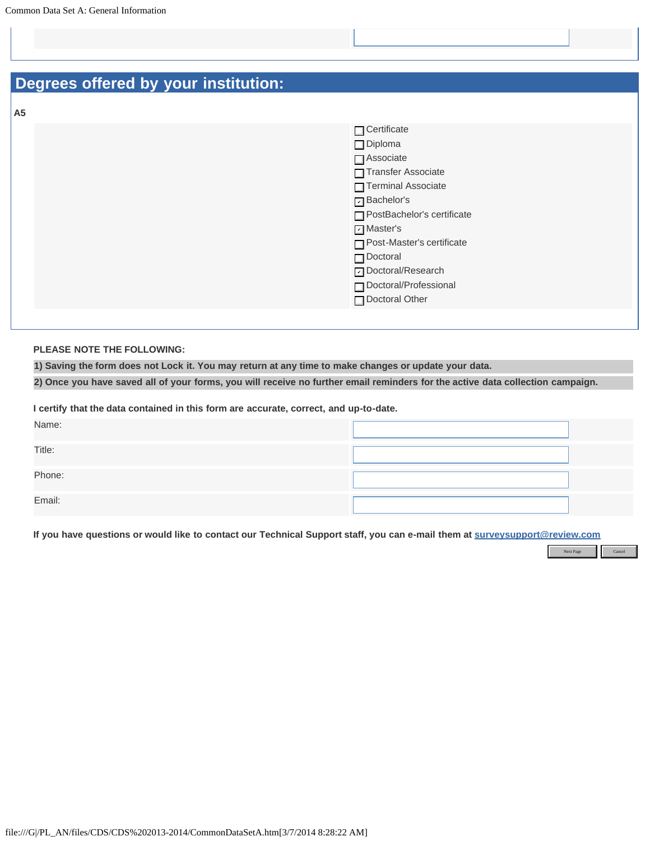# **Degrees offered by your institution:**

**A5**

| ∹∿ |                            |
|----|----------------------------|
|    | <b>O</b> Certificate       |
|    | $\Box$ Diploma             |
|    | $\Box$ Associate           |
|    | Transfer Associate         |
|    | Terminal Associate         |
|    | <b>□</b> Bachelor's        |
|    | PostBachelor's certificate |
|    | <b>□</b> Master's          |
|    | Post-Master's certificate  |
|    | $\Box$ Doctoral            |
|    | Doctoral/Research          |
|    | Doctoral/Professional      |
|    | Doctoral Other             |
|    |                            |

### **PLEASE NOTE THE FOLLOWING:**

**1) Saving the form does not Lock it. You may return at any time to make changes or update your data.**

**2) Once you have saved all of your forms, you will receive no further email reminders for the active data collection campaign.**

### **I certify that the data contained in this form are accurate, correct, and up-to-date.**

| Name:  |  |
|--------|--|
| Title: |  |
| Phone: |  |
| Email: |  |

Next Page Cancel

**If you have questions or would like to contact our Technical Support staff, you can e-mail them at [surveysupport@review.com](mailto:surveysupport@review.com)**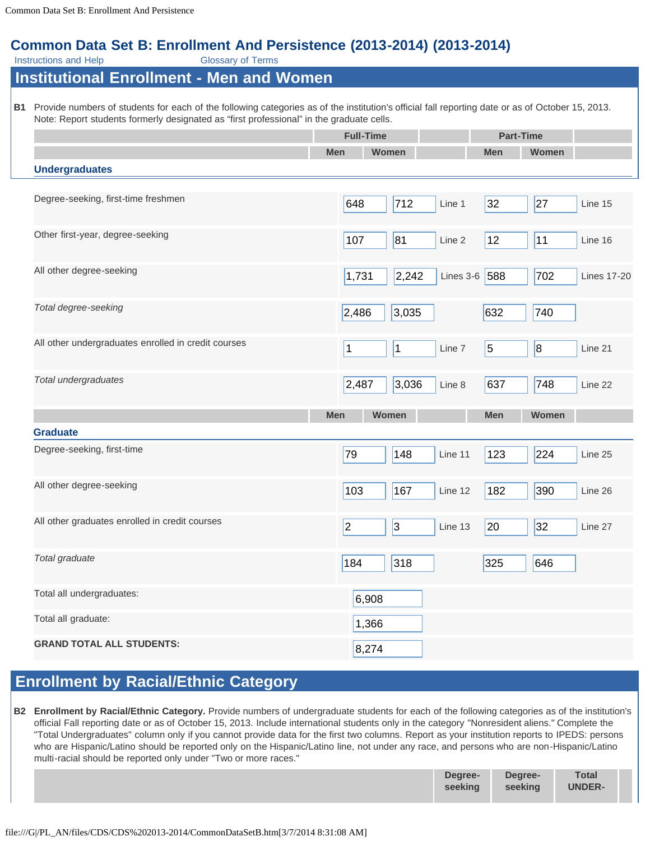### **Common Data Set B: Enrollment And Persistence (2013-2014) (2013-2014)**

| <b>Instructions and Help</b>                                                                                                                                                                                                                    | <b>Glossary of Terms</b> |                     |                        |           |                  |                |                    |
|-------------------------------------------------------------------------------------------------------------------------------------------------------------------------------------------------------------------------------------------------|--------------------------|---------------------|------------------------|-----------|------------------|----------------|--------------------|
| <b>Institutional Enrollment - Men and Women</b>                                                                                                                                                                                                 |                          |                     |                        |           |                  |                |                    |
| B1 Provide numbers of students for each of the following categories as of the institution's official fall reporting date or as of October 15, 2013.<br>Note: Report students formerly designated as "first professional" in the graduate cells. |                          |                     |                        |           |                  |                |                    |
|                                                                                                                                                                                                                                                 |                          | <b>Full-Time</b>    |                        |           | <b>Part-Time</b> |                |                    |
|                                                                                                                                                                                                                                                 |                          | Women<br><b>Men</b> |                        |           | <b>Men</b>       | <b>Women</b>   |                    |
| <b>Undergraduates</b>                                                                                                                                                                                                                           |                          |                     |                        |           |                  |                |                    |
| Degree-seeking, first-time freshmen                                                                                                                                                                                                             |                          | 648                 | 712                    | Line 1    | 32               | 27             | Line 15            |
| Other first-year, degree-seeking                                                                                                                                                                                                                |                          | 107                 | 81                     | Line 2    | 12               | 11             | Line 16            |
| All other degree-seeking                                                                                                                                                                                                                        |                          | 1,731               | 2,242                  | Lines 3-6 | 588              | 702            | <b>Lines 17-20</b> |
| Total degree-seeking                                                                                                                                                                                                                            |                          | 2,486               | 3,035                  |           | 632              | 740            |                    |
| All other undergraduates enrolled in credit courses                                                                                                                                                                                             |                          | $\vert$ 1           | $\mathbf{1}$           | Line 7    | 5                | 8              | Line 21            |
| Total undergraduates                                                                                                                                                                                                                            |                          | 2,487               | 3,036                  | Line 8    | 637              | 748            | Line 22            |
|                                                                                                                                                                                                                                                 |                          | Women<br><b>Men</b> |                        |           | <b>Men</b>       | Women          |                    |
| <b>Graduate</b>                                                                                                                                                                                                                                 |                          |                     |                        |           |                  |                |                    |
| Degree-seeking, first-time                                                                                                                                                                                                                      |                          | 79                  | 148                    | Line 11   | 123              | 224            | Line 25            |
| All other degree-seeking                                                                                                                                                                                                                        |                          | 103                 | 167                    | Line 12   | 182              | 390            | Line 26            |
| All other graduates enrolled in credit courses                                                                                                                                                                                                  |                          | $\overline{2}$      | 3 <br>المستنسط المستنس | Line 13   | 20               | $\frac{1}{32}$ | Line 27            |
| Total graduate                                                                                                                                                                                                                                  |                          | 184                 | 318                    |           | 325              | 646            |                    |
| Total all undergraduates:                                                                                                                                                                                                                       |                          | 6,908               |                        |           |                  |                |                    |
| Total all graduate:                                                                                                                                                                                                                             |                          | 1,366               |                        |           |                  |                |                    |
| <b>GRAND TOTAL ALL STUDENTS:</b>                                                                                                                                                                                                                |                          | 8,274               |                        |           |                  |                |                    |

# **Enrollment by Racial/Ethnic Category**

### **B2 Enrollment by Racial/Ethnic Category.** Provide numbers of undergraduate students for each of the following categories as of the institution's official Fall reporting date or as of October 15, 2013. Include international students only in the category "Nonresident aliens." Complete the "Total Undergraduates" column only if you cannot provide data for the first two columns. Report as your institution reports to IPEDS: persons who are Hispanic/Latino should be reported only on the Hispanic/Latino line, not under any race, and persons who are non-Hispanic/Latino multi-racial should be reported only under "Two or more races."

| Degree-<br>Dearee-<br>seeking<br>seeking | <b>Total</b><br>UNDER- |  |
|------------------------------------------|------------------------|--|
|------------------------------------------|------------------------|--|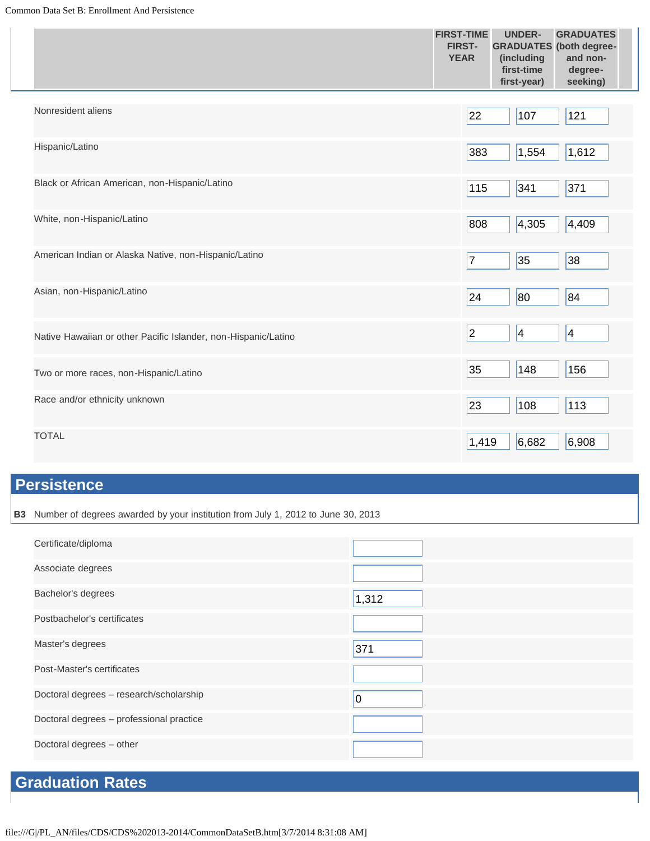|                                                                | <b>FIRST-TIME</b><br><b>FIRST-</b><br><b>YEAR</b> | <b>UNDER-</b><br>(including<br>first-time<br>first-year) | <b>GRADUATES</b><br><b>GRADUATES</b> (both degree-<br>and non-<br>degree-<br>seeking) |  |
|----------------------------------------------------------------|---------------------------------------------------|----------------------------------------------------------|---------------------------------------------------------------------------------------|--|
| Nonresident aliens                                             | 22                                                | 107                                                      | 121                                                                                   |  |
| Hispanic/Latino                                                |                                                   |                                                          |                                                                                       |  |
|                                                                | 383                                               | 1,554                                                    | 1,612                                                                                 |  |
| Black or African American, non-Hispanic/Latino                 | 115                                               | 341                                                      | 371                                                                                   |  |
| White, non-Hispanic/Latino                                     | 808                                               | 4,305                                                    | 4,409                                                                                 |  |
| American Indian or Alaska Native, non-Hispanic/Latino          | $\overline{7}$                                    | 35                                                       | 38                                                                                    |  |
| Asian, non-Hispanic/Latino                                     | 24                                                | 80                                                       | 84                                                                                    |  |
| Native Hawaiian or other Pacific Islander, non-Hispanic/Latino | $ 2\rangle$                                       | 4                                                        | $\overline{\mathbf{4}}$                                                               |  |
| Two or more races, non-Hispanic/Latino                         | 35                                                | 148                                                      | 156                                                                                   |  |
| Race and/or ethnicity unknown                                  | 23                                                | 108                                                      | 113                                                                                   |  |
| <b>TOTAL</b>                                                   | 1,419                                             | 6,682                                                    | 6,908                                                                                 |  |

# **Persistence**

### **B3** Number of degrees awarded by your institution from July 1, 2012 to June 30, 2013

| Certificate/diploma                      |                |
|------------------------------------------|----------------|
| Associate degrees                        |                |
| Bachelor's degrees                       | 1,312          |
| Postbachelor's certificates              |                |
| Master's degrees                         | 371            |
| Post-Master's certificates               |                |
| Doctoral degrees - research/scholarship  | $\overline{0}$ |
| Doctoral degrees - professional practice |                |
| Doctoral degrees - other                 |                |

# **Graduation Rates**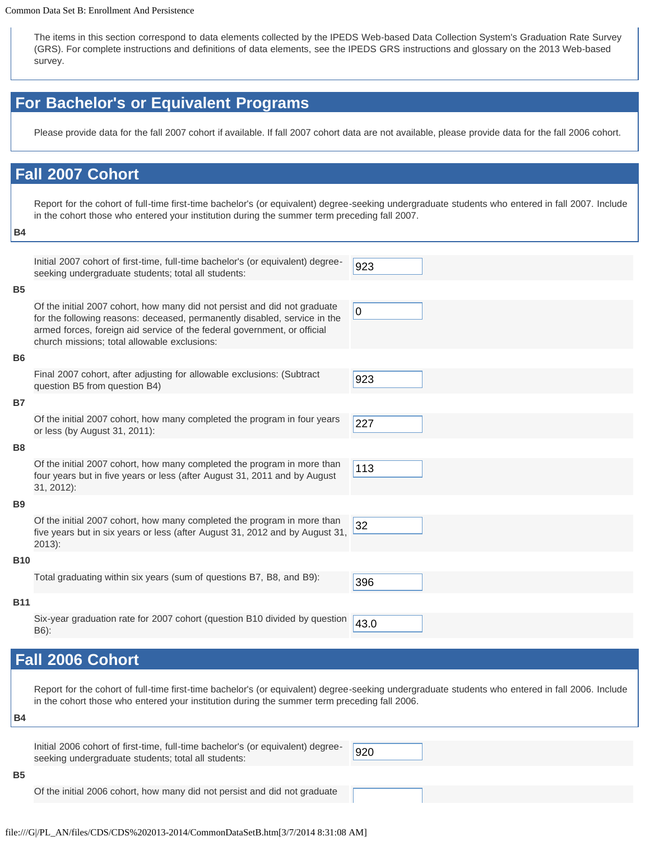#### Common Data Set B: Enrollment And Persistence

The items in this section correspond to data elements collected by the IPEDS Web-based Data Collection System's Graduation Rate Survey (GRS). For complete instructions and definitions of data elements, see the IPEDS GRS instructions and glossary on the 2013 Web-based survey.

### **For Bachelor's or Equivalent Programs**

Please provide data for the fall 2007 cohort if available. If fall 2007 cohort data are not available, please provide data for the fall 2006 cohort.

### **Fall 2007 Cohort**

**B4**

Report for the cohort of full-time first-time bachelor's (or equivalent) degree-seeking undergraduate students who entered in fall 2007. Include in the cohort those who entered your institution during the summer term preceding fall 2007.

|            | Initial 2007 cohort of first-time, full-time bachelor's (or equivalent) degree-<br>seeking undergraduate students; total all students:                                                                                                                                             | 923            |
|------------|------------------------------------------------------------------------------------------------------------------------------------------------------------------------------------------------------------------------------------------------------------------------------------|----------------|
| <b>B5</b>  |                                                                                                                                                                                                                                                                                    |                |
|            | Of the initial 2007 cohort, how many did not persist and did not graduate<br>for the following reasons: deceased, permanently disabled, service in the<br>armed forces, foreign aid service of the federal government, or official<br>church missions; total allowable exclusions: | $\overline{0}$ |
| <b>B6</b>  |                                                                                                                                                                                                                                                                                    |                |
|            | Final 2007 cohort, after adjusting for allowable exclusions: (Subtract<br>question B5 from question B4)                                                                                                                                                                            | 923            |
| <b>B7</b>  |                                                                                                                                                                                                                                                                                    |                |
|            | Of the initial 2007 cohort, how many completed the program in four years<br>or less (by August 31, 2011):                                                                                                                                                                          | 227            |
| <b>B8</b>  |                                                                                                                                                                                                                                                                                    |                |
|            | Of the initial 2007 cohort, how many completed the program in more than<br>four years but in five years or less (after August 31, 2011 and by August<br>$31, 2012$ :                                                                                                               | 113            |
| <b>B9</b>  |                                                                                                                                                                                                                                                                                    |                |
|            | Of the initial 2007 cohort, how many completed the program in more than<br>five years but in six years or less (after August 31, 2012 and by August 31,<br>$2013$ :                                                                                                                | 32             |
| <b>B10</b> |                                                                                                                                                                                                                                                                                    |                |
|            | Total graduating within six years (sum of questions B7, B8, and B9):                                                                                                                                                                                                               | 396            |
| <b>B11</b> |                                                                                                                                                                                                                                                                                    |                |
|            | Six-year graduation rate for 2007 cohort (question B10 divided by question<br>B6):                                                                                                                                                                                                 | 43.0           |

### **Fall 2006 Cohort**

Report for the cohort of full-time first-time bachelor's (or equivalent) degree-seeking undergraduate students who entered in fall 2006. Include in the cohort those who entered your institution during the summer term preceding fall 2006.

**B4**

| seeking undergraduate students; total all students: | initial 2006 cohort of first-time, full-time bachelor's (or equivalent) degree- 920 |  |  |
|-----------------------------------------------------|-------------------------------------------------------------------------------------|--|--|
|-----------------------------------------------------|-------------------------------------------------------------------------------------|--|--|

**B5**

Of the initial 2006 cohort, how many did not persist and did not graduate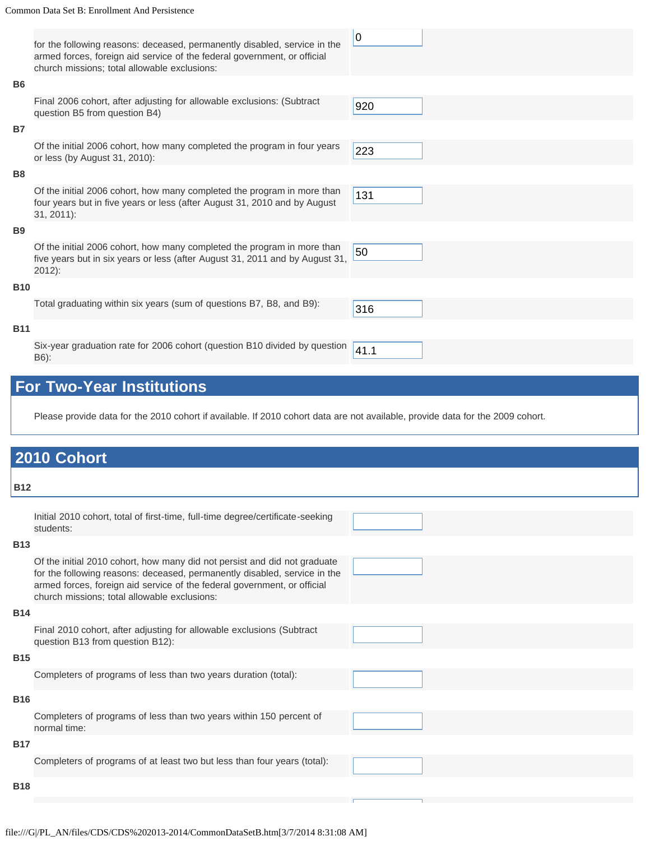|            | for the following reasons: deceased, permanently disabled, service in the<br>armed forces, foreign aid service of the federal government, or official<br>church missions; total allowable exclusions: | $\mathbf 0$ |
|------------|-------------------------------------------------------------------------------------------------------------------------------------------------------------------------------------------------------|-------------|
| <b>B6</b>  |                                                                                                                                                                                                       |             |
|            | Final 2006 cohort, after adjusting for allowable exclusions: (Subtract<br>question B5 from question B4)                                                                                               | 920         |
| B7         |                                                                                                                                                                                                       |             |
|            | Of the initial 2006 cohort, how many completed the program in four years<br>or less (by August 31, 2010):                                                                                             | 223         |
| <b>B8</b>  |                                                                                                                                                                                                       |             |
|            | Of the initial 2006 cohort, how many completed the program in more than<br>four years but in five years or less (after August 31, 2010 and by August<br>$31, 2011$ :                                  | 131         |
| <b>B9</b>  |                                                                                                                                                                                                       |             |
|            | Of the initial 2006 cohort, how many completed the program in more than<br>five years but in six years or less (after August 31, 2011 and by August 31,<br>$2012$ :                                   | 50          |
| <b>B10</b> |                                                                                                                                                                                                       |             |
|            | Total graduating within six years (sum of questions B7, B8, and B9):                                                                                                                                  | 316         |
| <b>B11</b> |                                                                                                                                                                                                       |             |
|            | Six-year graduation rate for 2006 cohort (question B10 divided by question<br>B6):                                                                                                                    | 41.1        |

# **For Two-Year Institutions**

Please provide data for the 2010 cohort if available. If 2010 cohort data are not available, provide data for the 2009 cohort.

# **2010 Cohort**

### **B12**

|            | Initial 2010 cohort, total of first-time, full-time degree/certificate-seeking<br>students:                                                                                                                                                                                        |  |
|------------|------------------------------------------------------------------------------------------------------------------------------------------------------------------------------------------------------------------------------------------------------------------------------------|--|
| <b>B13</b> |                                                                                                                                                                                                                                                                                    |  |
|            | Of the initial 2010 cohort, how many did not persist and did not graduate<br>for the following reasons: deceased, permanently disabled, service in the<br>armed forces, foreign aid service of the federal government, or official<br>church missions; total allowable exclusions: |  |
| <b>B14</b> |                                                                                                                                                                                                                                                                                    |  |
|            | Final 2010 cohort, after adjusting for allowable exclusions (Subtract<br>question B13 from question B12):                                                                                                                                                                          |  |
| <b>B15</b> |                                                                                                                                                                                                                                                                                    |  |
|            | Completers of programs of less than two years duration (total):                                                                                                                                                                                                                    |  |
| <b>B16</b> |                                                                                                                                                                                                                                                                                    |  |
|            | Completers of programs of less than two years within 150 percent of<br>normal time:                                                                                                                                                                                                |  |
| <b>B17</b> |                                                                                                                                                                                                                                                                                    |  |
|            | Completers of programs of at least two but less than four years (total):                                                                                                                                                                                                           |  |
| <b>B18</b> |                                                                                                                                                                                                                                                                                    |  |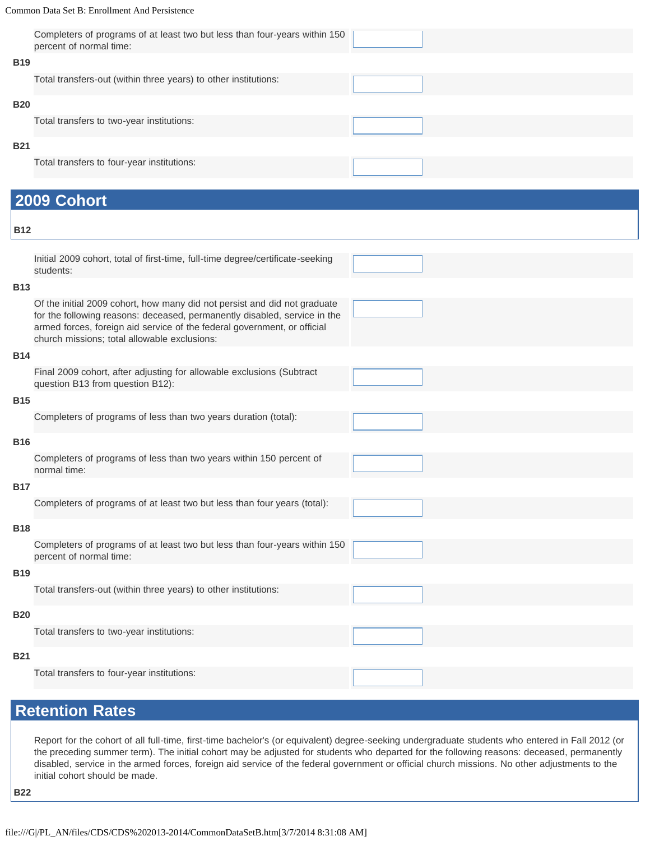#### Common Data Set B: Enrollment And Persistence

|            | Completers of programs of at least two but less than four-years within 150<br>percent of normal time:                                                                                                                                                                              |  |
|------------|------------------------------------------------------------------------------------------------------------------------------------------------------------------------------------------------------------------------------------------------------------------------------------|--|
| <b>B19</b> |                                                                                                                                                                                                                                                                                    |  |
|            | Total transfers-out (within three years) to other institutions:                                                                                                                                                                                                                    |  |
| <b>B20</b> |                                                                                                                                                                                                                                                                                    |  |
|            | Total transfers to two-year institutions:                                                                                                                                                                                                                                          |  |
| <b>B21</b> |                                                                                                                                                                                                                                                                                    |  |
|            | Total transfers to four-year institutions:                                                                                                                                                                                                                                         |  |
|            | 2009 Cohort                                                                                                                                                                                                                                                                        |  |
| <b>B12</b> |                                                                                                                                                                                                                                                                                    |  |
|            |                                                                                                                                                                                                                                                                                    |  |
|            | Initial 2009 cohort, total of first-time, full-time degree/certificate-seeking<br>students:                                                                                                                                                                                        |  |
| <b>B13</b> |                                                                                                                                                                                                                                                                                    |  |
|            | Of the initial 2009 cohort, how many did not persist and did not graduate<br>for the following reasons: deceased, permanently disabled, service in the<br>armed forces, foreign aid service of the federal government, or official<br>church missions; total allowable exclusions: |  |
| <b>B14</b> |                                                                                                                                                                                                                                                                                    |  |
|            | Final 2009 cohort, after adjusting for allowable exclusions (Subtract<br>question B13 from question B12):                                                                                                                                                                          |  |
| <b>B15</b> |                                                                                                                                                                                                                                                                                    |  |
|            | Completers of programs of less than two years duration (total):                                                                                                                                                                                                                    |  |
|            |                                                                                                                                                                                                                                                                                    |  |
| <b>B16</b> |                                                                                                                                                                                                                                                                                    |  |
|            | Completers of programs of less than two years within 150 percent of<br>normal time:                                                                                                                                                                                                |  |
| <b>B17</b> |                                                                                                                                                                                                                                                                                    |  |
|            | Completers of programs of at least two but less than four years (total):                                                                                                                                                                                                           |  |
| <b>B18</b> |                                                                                                                                                                                                                                                                                    |  |
|            | Completers of programs of at least two but less than four-years within 150<br>percent of normal time:                                                                                                                                                                              |  |
| <b>B19</b> |                                                                                                                                                                                                                                                                                    |  |
|            | Total transfers-out (within three years) to other institutions:                                                                                                                                                                                                                    |  |
| <b>B20</b> |                                                                                                                                                                                                                                                                                    |  |
|            | Total transfers to two-year institutions:                                                                                                                                                                                                                                          |  |
| <b>B21</b> |                                                                                                                                                                                                                                                                                    |  |
|            | Total transfers to four-year institutions:                                                                                                                                                                                                                                         |  |
|            |                                                                                                                                                                                                                                                                                    |  |

### **Retention Rates**

Report for the cohort of all full-time, first-time bachelor's (or equivalent) degree-seeking undergraduate students who entered in Fall 2012 (or the preceding summer term). The initial cohort may be adjusted for students who departed for the following reasons: deceased, permanently disabled, service in the armed forces, foreign aid service of the federal government or official church missions. No other adjustments to the initial cohort should be made.

**B22**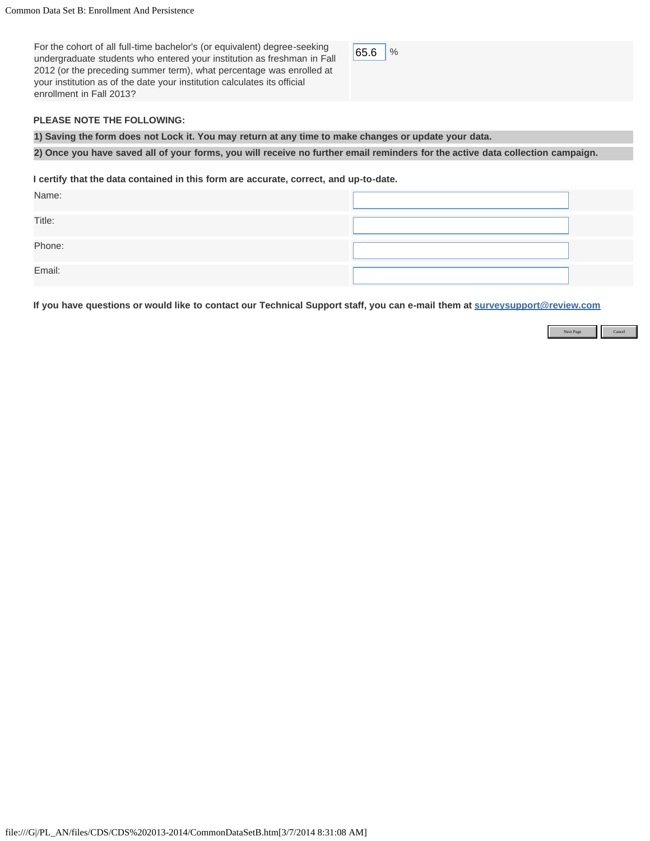For the cohort of all full-time bachelor's (or equivalent) degree-seeking undergraduate students who entered your institution as freshman in Fall 2012 (or the preceding summer term), what percentage was enrolled at your institution as of the date your institution calculates its official enrollment in Fall 2013?

#### % 65.6

### **PLEASE NOTE THE FOLLOWING:**

**1) Saving the form does not Lock it. You may return at any time to make changes or update your data.**

**2) Once you have saved all of your forms, you will receive no further email reminders for the active data collection campaign.**

**I certify that the data contained in this form are accurate, correct, and up-to-date.**

| Name:  |  |
|--------|--|
| Title: |  |
| Phone: |  |
| Email: |  |

**If you have questions or would like to contact our Technical Support staff, you can e-mail them at [surveysupport@review.com](mailto:surveysupport@review.com)**

Next Page Cancel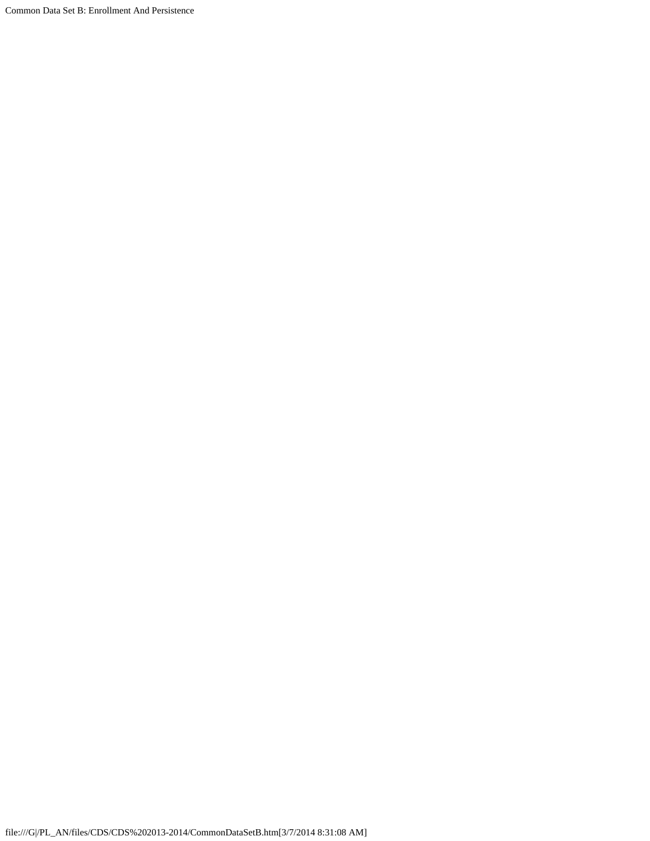Common Data Set B: Enrollment And Persistence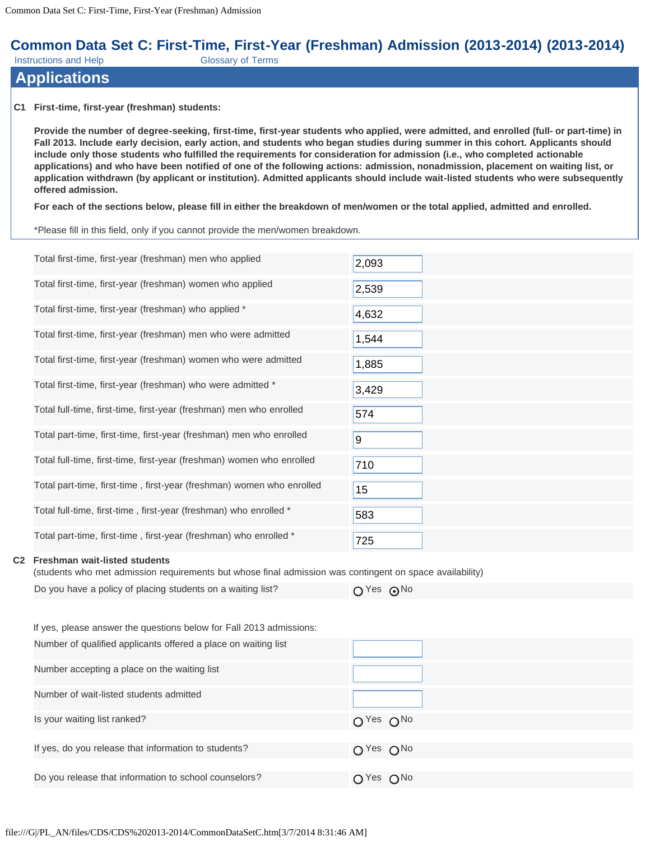### **Common Data Set C: First-Time, First-Year (Freshman) Admission (2013-2014) (2013-2014)**

[Instructions and Help](javascript:;) [Glossary of Terms](javascript:;)

**Applications**

**C1 First-time, first-year (freshman) students:**

**Provide the number of degree-seeking, first-time, first-year students who applied, were admitted, and enrolled (full- or part-time) in Fall 2013. Include early decision, early action, and students who began studies during summer in this cohort. Applicants should include only those students who fulfilled the requirements for consideration for admission (i.e., who completed actionable applications) and who have been notified of one of the following actions: admission, nonadmission, placement on waiting list, or application withdrawn (by applicant or institution). Admitted applicants should include wait-listed students who were subsequently offered admission.**

**For each of the sections below, please fill in either the breakdown of men/women or the total applied, admitted and enrolled.**

\*Please fill in this field, only if you cannot provide the men/women breakdown.

| 2,093 |
|-------|
| 2,539 |
| 4,632 |
| 1,544 |
| 1,885 |
| 3,429 |
| 574   |
| 9     |
| 710   |
| 15    |
| 583   |
| 725   |
|       |

#### **C2 Freshman wait-listed students**

(students who met admission requirements but whose final admission was contingent on space availability)

| Do you have a policy of placing students on a waiting list? | $O$ Yes $O$ No |
|-------------------------------------------------------------|----------------|
|                                                             |                |

| If yes, please answer the questions below for Fall 2013 admissions: |                |
|---------------------------------------------------------------------|----------------|
| Number of qualified applicants offered a place on waiting list      |                |
| Number accepting a place on the waiting list                        |                |
| Number of wait-listed students admitted                             |                |
| Is your waiting list ranked?                                        | $OYes$ $ONo$   |
| If yes, do you release that information to students?                | $O$ Yes $O$ No |
| Do you release that information to school counselors?               | $O$ Yes $O$ No |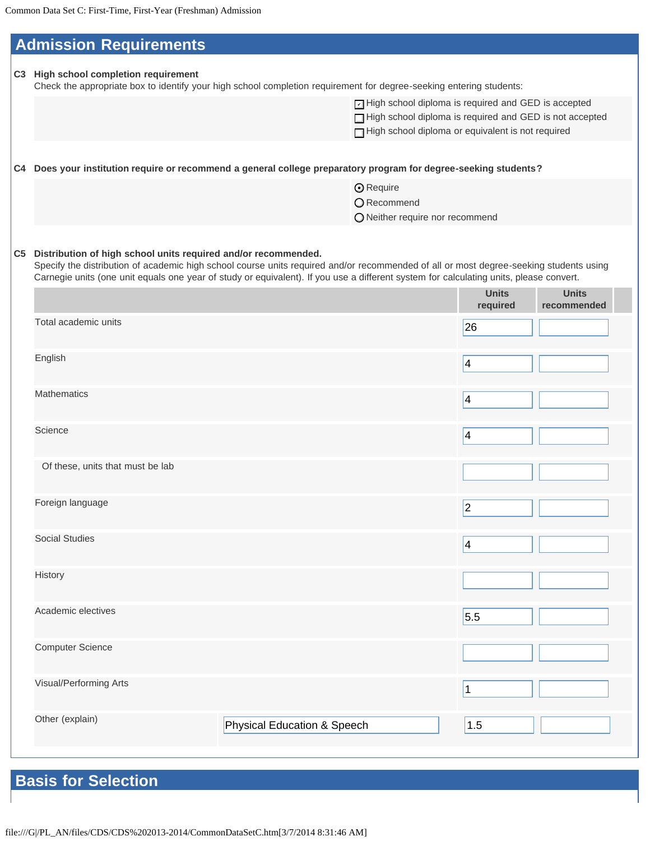| <b>Admission Requirements</b>                                     |                                                                                                                                                                                                                                                                                  |                          |                             |
|-------------------------------------------------------------------|----------------------------------------------------------------------------------------------------------------------------------------------------------------------------------------------------------------------------------------------------------------------------------|--------------------------|-----------------------------|
| C3 High school completion requirement                             | Check the appropriate box to identify your high school completion requirement for degree-seeking entering students:                                                                                                                                                              |                          |                             |
|                                                                   | High school diploma is required and GED is accepted<br>High school diploma is required and GED is not accepted<br>High school diploma or equivalent is not required                                                                                                              |                          |                             |
|                                                                   | C4 Does your institution require or recommend a general college preparatory program for degree-seeking students?                                                                                                                                                                 |                          |                             |
|                                                                   | <b>⊙</b> Require<br>O Recommend<br>O Neither require nor recommend                                                                                                                                                                                                               |                          |                             |
| C5 Distribution of high school units required and/or recommended. | Specify the distribution of academic high school course units required and/or recommended of all or most degree-seeking students using<br>Carnegie units (one unit equals one year of study or equivalent). If you use a different system for calculating units, please convert. |                          |                             |
|                                                                   |                                                                                                                                                                                                                                                                                  | <b>Units</b><br>required | <b>Units</b><br>recommended |
| Total academic units                                              |                                                                                                                                                                                                                                                                                  | 26                       |                             |
| English                                                           |                                                                                                                                                                                                                                                                                  | $\vert 4$                |                             |
| <b>Mathematics</b>                                                |                                                                                                                                                                                                                                                                                  | 4                        |                             |
| Science                                                           |                                                                                                                                                                                                                                                                                  | $\vert 4 \vert$          |                             |
| Of these, units that must be lab                                  |                                                                                                                                                                                                                                                                                  |                          |                             |
| Foreign language                                                  |                                                                                                                                                                                                                                                                                  | $\overline{2}$           |                             |
| <b>Social Studies</b>                                             |                                                                                                                                                                                                                                                                                  | $\vert 4 \vert$          |                             |
| History                                                           |                                                                                                                                                                                                                                                                                  |                          |                             |
| Academic electives                                                |                                                                                                                                                                                                                                                                                  | 5.5                      |                             |
| <b>Computer Science</b>                                           |                                                                                                                                                                                                                                                                                  |                          |                             |
| Visual/Performing Arts                                            |                                                                                                                                                                                                                                                                                  | 1                        |                             |
| Other (explain)                                                   | Physical Education & Speech                                                                                                                                                                                                                                                      | 1.5                      |                             |

**Basis for Selection**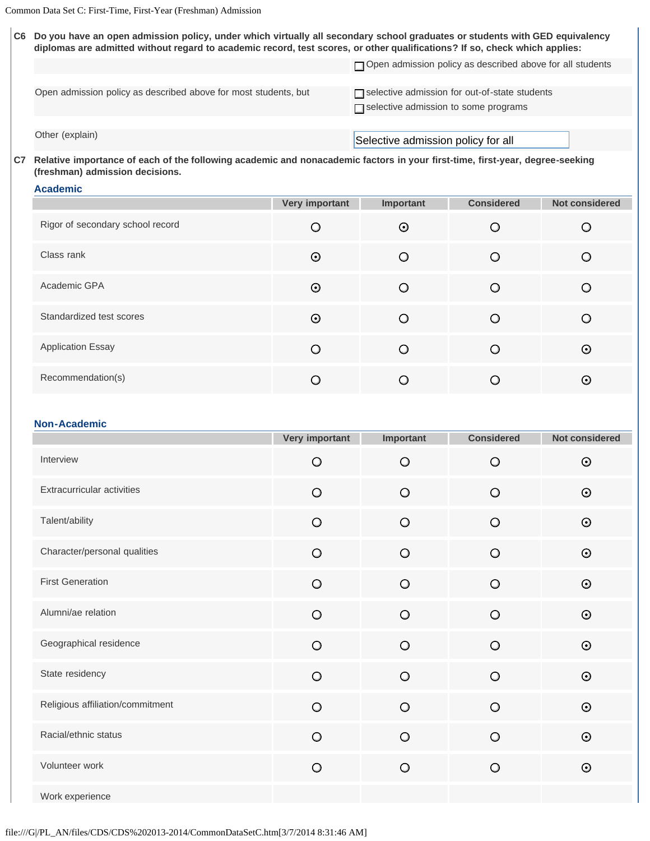| C6                                                                                                                                                                     | Do you have an open admission policy, under which virtually all secondary school graduates or students with GED equivalency<br>diplomas are admitted without regard to academic record, test scores, or other qualifications? If so, check which applies: |                |                                                                                                     |                                                                  |                       |
|------------------------------------------------------------------------------------------------------------------------------------------------------------------------|-----------------------------------------------------------------------------------------------------------------------------------------------------------------------------------------------------------------------------------------------------------|----------------|-----------------------------------------------------------------------------------------------------|------------------------------------------------------------------|-----------------------|
|                                                                                                                                                                        |                                                                                                                                                                                                                                                           |                |                                                                                                     | $\Box$ Open admission policy as described above for all students |                       |
|                                                                                                                                                                        | Open admission policy as described above for most students, but                                                                                                                                                                                           |                | $\Box$ selective admission for out-of-state students<br>$\Box$ selective admission to some programs |                                                                  |                       |
|                                                                                                                                                                        |                                                                                                                                                                                                                                                           |                |                                                                                                     |                                                                  |                       |
|                                                                                                                                                                        | Other (explain)                                                                                                                                                                                                                                           |                |                                                                                                     | Selective admission policy for all                               |                       |
| Relative importance of each of the following academic and nonacademic factors in your first-time, first-year, degree-seeking<br>IC7<br>(freshman) admission decisions. |                                                                                                                                                                                                                                                           |                |                                                                                                     |                                                                  |                       |
|                                                                                                                                                                        |                                                                                                                                                                                                                                                           |                |                                                                                                     |                                                                  |                       |
|                                                                                                                                                                        | <b>Academic</b>                                                                                                                                                                                                                                           |                |                                                                                                     |                                                                  |                       |
|                                                                                                                                                                        |                                                                                                                                                                                                                                                           | Very important | Important                                                                                           | <b>Considered</b>                                                | <b>Not considered</b> |
|                                                                                                                                                                        | Rigor of secondary school record                                                                                                                                                                                                                          | O              | $_{\odot}$                                                                                          | O                                                                | Ω                     |
|                                                                                                                                                                        | Class rank                                                                                                                                                                                                                                                | $\odot$        | O                                                                                                   | $\circ$                                                          | $\circ$               |
|                                                                                                                                                                        | Academic GPA                                                                                                                                                                                                                                              | $\odot$        | O                                                                                                   | O                                                                | O                     |

| Academic GPA             | $\odot$ |  |         |
|--------------------------|---------|--|---------|
| Standardized test scores | $\odot$ |  |         |
| <b>Application Essay</b> |         |  | $\odot$ |
| Recommendation(s)        |         |  | $\odot$ |

### **Non-Academic**

|                                   | Very important | Important | <b>Considered</b> | <b>Not considered</b> |
|-----------------------------------|----------------|-----------|-------------------|-----------------------|
| Interview                         | $\circ$        | $\circ$   | $\circ$           | $\odot$               |
| <b>Extracurricular activities</b> | $\circ$        | $\circ$   | $\circ$           | $\odot$               |
| Talent/ability                    | $\circ$        | $\circ$   | $\circ$           | $\odot$               |
| Character/personal qualities      | $\circ$        | $\circ$   | $\circ$           | $\odot$               |
| <b>First Generation</b>           | $\circ$        | $\circ$   | $\circ$           | $\odot$               |
| Alumni/ae relation                | $\circ$        | $\circ$   | $\circ$           | $\odot$               |
| Geographical residence            | $\circ$        | $\circ$   | $\circ$           | $\odot$               |
| State residency                   | $\circ$        | $\circ$   | $\circ$           | $\odot$               |
| Religious affiliation/commitment  | $\circ$        | $\circ$   | $\circ$           | $\odot$               |
| Racial/ethnic status              | $\circ$        | $\circ$   | $\circ$           | $\odot$               |
| Volunteer work                    | $\circ$        | $\circ$   | $\circ$           | $\odot$               |
| Work experience                   |                |           |                   |                       |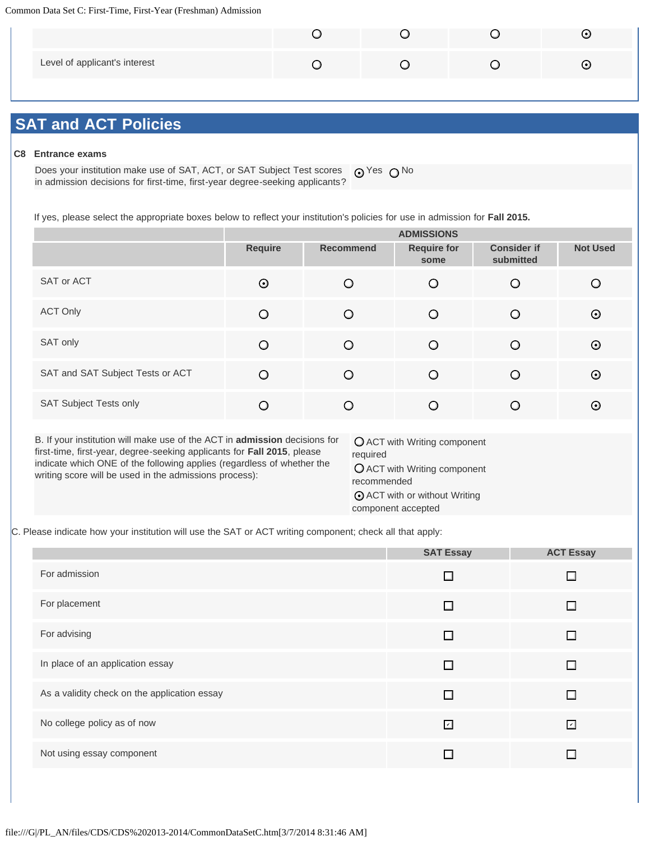| Level of applicant's interest |  |  |
|-------------------------------|--|--|

# **SAT and ACT Policies**

### **C8 Entrance exams**

Does your institution make use of SAT, ACT, or SAT Subject Test scores in admission decisions for first-time, first-year degree-seeking applicants?  $O$ Yes  $O$ No

If yes, please select the appropriate boxes below to reflect your institution's policies for use in admission for **Fall 2015.**

|                                  |                |                                 | <b>ADMISSIONS</b> |         |         |
|----------------------------------|----------------|---------------------------------|-------------------|---------|---------|
|                                  | <b>Require</b> | <b>Consider if</b><br>submitted | <b>Not Used</b>   |         |         |
| SAT or ACT                       | $\odot$        | O                               | $\circ$           | $\circ$ | Ő       |
| <b>ACT Only</b>                  | $\circ$        | O                               | O                 | O       | $\odot$ |
| SAT only                         | $\circ$        | O                               | O                 | $\circ$ | $\odot$ |
| SAT and SAT Subject Tests or ACT | $\circ$        | O                               | O                 | Ő       | $\odot$ |
| SAT Subject Tests only           | O              | O                               | O                 |         | $\odot$ |

B. If your institution will make use of the ACT in **admission** decisions for first-time, first-year, degree-seeking applicants for **Fall 2015**, please indicate which ONE of the following applies (regardless of whether the writing score will be used in the admissions process):

ACT with Writing component required ACT with Writing component recommended ACT with or without Writing component accepted

C. Please indicate how your institution will use the SAT or ACT writing component; check all that apply:

|                                              | <b>SAT Essay</b> | <b>ACT Essay</b> |
|----------------------------------------------|------------------|------------------|
| For admission                                | $\Box$           | $\Box$           |
| For placement                                | Π                | $\Box$           |
| For advising                                 | $\Box$           | $\Box$           |
| In place of an application essay             | $\Box$           | $\Box$           |
| As a validity check on the application essay | $\Box$           | $\Box$           |
| No college policy as of now                  | ☑                | $\sqrt{ }$       |
| Not using essay component                    |                  | $\Box$           |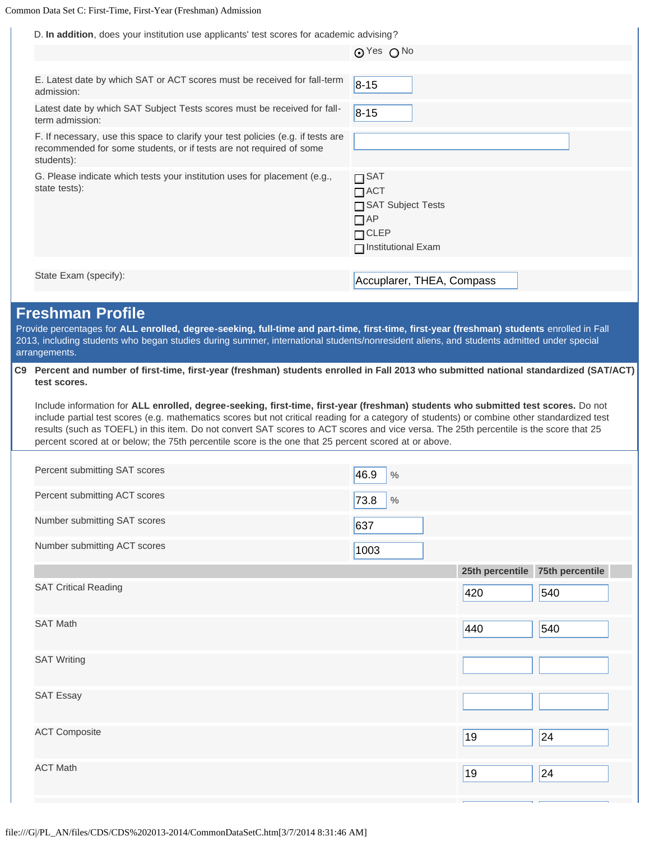| D. In addition, does your institution use applicants' test scores for academic advising?                                                                                                                                                                                                                                                                                                                                                      |                                                                                                      |                 |                 |
|-----------------------------------------------------------------------------------------------------------------------------------------------------------------------------------------------------------------------------------------------------------------------------------------------------------------------------------------------------------------------------------------------------------------------------------------------|------------------------------------------------------------------------------------------------------|-----------------|-----------------|
|                                                                                                                                                                                                                                                                                                                                                                                                                                               | $O$ Yes $O$ No                                                                                       |                 |                 |
| E. Latest date by which SAT or ACT scores must be received for fall-term<br>admission:                                                                                                                                                                                                                                                                                                                                                        | $8 - 15$                                                                                             |                 |                 |
| Latest date by which SAT Subject Tests scores must be received for fall-<br>term admission:                                                                                                                                                                                                                                                                                                                                                   | $8 - 15$                                                                                             |                 |                 |
| F. If necessary, use this space to clarify your test policies (e.g. if tests are<br>recommended for some students, or if tests are not required of some<br>students):                                                                                                                                                                                                                                                                         |                                                                                                      |                 |                 |
| G. Please indicate which tests your institution uses for placement (e.g.,<br>state tests):                                                                                                                                                                                                                                                                                                                                                    | $\square$ SAT<br>$\Box$ ACT<br>SAT Subject Tests<br>$\Box$ AP<br>$\Box$ CLEP<br>□ Institutional Exam |                 |                 |
| State Exam (specify):                                                                                                                                                                                                                                                                                                                                                                                                                         | Accuplarer, THEA, Compass                                                                            |                 |                 |
| C9 Percent and number of first-time, first-year (freshman) students enrolled in Fall 2013 who submitted national standardized (SAT/ACT)<br>test scores.<br>Include information for ALL enrolled, degree-seeking, first-time, first-year (freshman) students who submitted test scores. Do not<br>include partial test scores (e.g. mathematics scores but not critical reading for a category of students) or combine other standardized test |                                                                                                      |                 |                 |
| results (such as TOEFL) in this item. Do not convert SAT scores to ACT scores and vice versa. The 25th percentile is the score that 25<br>percent scored at or below; the 75th percentile score is the one that 25 percent scored at or above.                                                                                                                                                                                                |                                                                                                      |                 |                 |
| Percent submitting SAT scores                                                                                                                                                                                                                                                                                                                                                                                                                 | 46.9<br>$\%$                                                                                         |                 |                 |
| Percent submitting ACT scores                                                                                                                                                                                                                                                                                                                                                                                                                 | 73.8<br>$\%$                                                                                         |                 |                 |
| Number submitting SAT scores                                                                                                                                                                                                                                                                                                                                                                                                                  | 637                                                                                                  |                 |                 |
| Number submitting ACT scores                                                                                                                                                                                                                                                                                                                                                                                                                  | 1003                                                                                                 |                 |                 |
|                                                                                                                                                                                                                                                                                                                                                                                                                                               |                                                                                                      | 25th percentile | 75th percentile |
| <b>SAT Critical Reading</b>                                                                                                                                                                                                                                                                                                                                                                                                                   |                                                                                                      | 420             | 540             |
| <b>SAT Math</b>                                                                                                                                                                                                                                                                                                                                                                                                                               |                                                                                                      | 440             | 540             |
| <b>SAT Writing</b>                                                                                                                                                                                                                                                                                                                                                                                                                            |                                                                                                      |                 |                 |
|                                                                                                                                                                                                                                                                                                                                                                                                                                               |                                                                                                      |                 |                 |
| <b>SAT Essay</b><br><b>ACT Composite</b>                                                                                                                                                                                                                                                                                                                                                                                                      |                                                                                                      | 19              | 24              |

1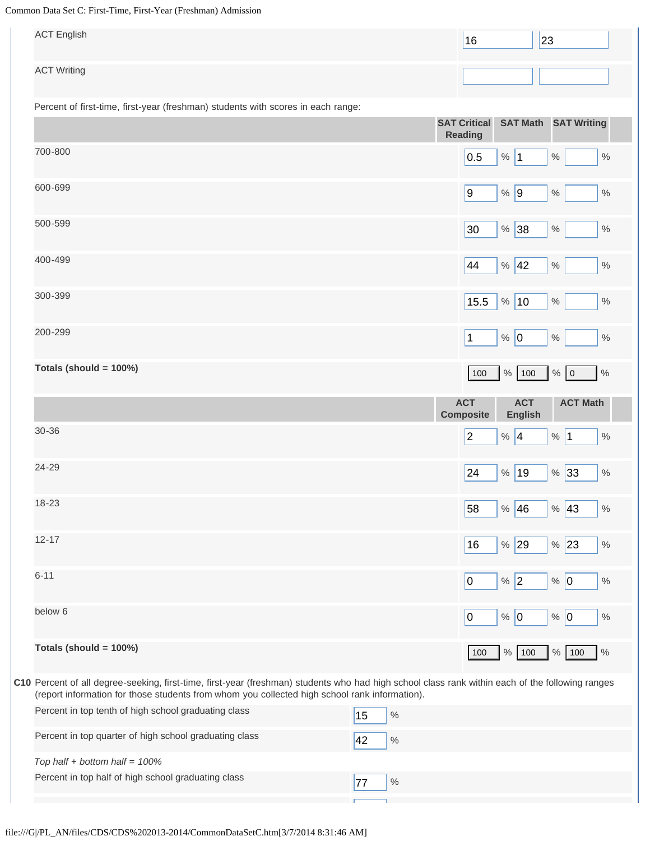| <b>ACT English</b>                                                                                                                                                                                                                                |            | 23                                                                                |
|---------------------------------------------------------------------------------------------------------------------------------------------------------------------------------------------------------------------------------------------------|------------|-----------------------------------------------------------------------------------|
|                                                                                                                                                                                                                                                   |            | 16                                                                                |
| <b>ACT Writing</b>                                                                                                                                                                                                                                |            |                                                                                   |
| Percent of first-time, first-year (freshman) students with scores in each range:                                                                                                                                                                  |            |                                                                                   |
|                                                                                                                                                                                                                                                   |            | <b>SAT Math SAT Writing</b><br><b>SAT Critical</b><br><b>Reading</b>              |
| 700-800                                                                                                                                                                                                                                           |            | 0.5 <br>$\%$   1<br>$\%$<br>$\%$                                                  |
| 600-699                                                                                                                                                                                                                                           |            | $\%$<br>$%$ 9<br>$\%$<br>9                                                        |
| 500-599                                                                                                                                                                                                                                           |            | % 38<br>30<br>$\%$<br>$\%$                                                        |
| 400-499                                                                                                                                                                                                                                           |            | 42 <br>44<br>$\%$<br>$\%$<br>$\%$                                                 |
| 300-399                                                                                                                                                                                                                                           |            | % 10<br>$\%$<br>$\%$<br>15.5                                                      |
| 200-299                                                                                                                                                                                                                                           |            | % $ 0\rangle$<br>$\%$<br>$\%$<br>1                                                |
| Totals (should = $100\%$ )                                                                                                                                                                                                                        |            | $%$ 0<br>% 100<br>$\frac{0}{0}$<br>100                                            |
|                                                                                                                                                                                                                                                   |            | <b>ACT Math</b><br><b>ACT</b><br><b>ACT</b><br><b>Composite</b><br><b>English</b> |
| 30-36                                                                                                                                                                                                                                             |            | $ 2\rangle$<br>% 4<br>$\%$ 1<br>$\%$                                              |
| 24-29                                                                                                                                                                                                                                             |            | % 33<br> 24 <br>% 19<br>$\%$                                                      |
| 18-23                                                                                                                                                                                                                                             |            | % 43<br>58<br> 46 <br>$\%$<br>$\%$                                                |
| $12 - 17$                                                                                                                                                                                                                                         |            | % 29<br>% 23<br>16<br>$\%$                                                        |
| $6 - 11$                                                                                                                                                                                                                                          |            | % 2<br>$\%$ 0<br>0<br>$\%$                                                        |
| below 6                                                                                                                                                                                                                                           |            | $%$ 0<br>$\%$ 0<br>$\%$<br>0                                                      |
| Totals (should = $100\%$ )                                                                                                                                                                                                                        |            | % 100<br>$\%$<br>% 100<br>100                                                     |
| C10 Percent of all degree-seeking, first-time, first-year (freshman) students who had high school class rank within each of the following ranges<br>(report information for those students from whom you collected high school rank information). |            |                                                                                   |
| Percent in top tenth of high school graduating class                                                                                                                                                                                              | $\%$<br>15 |                                                                                   |
| Percent in top quarter of high school graduating class                                                                                                                                                                                            | 42<br>$\%$ |                                                                                   |
| Top half + bottom half = $100\%$                                                                                                                                                                                                                  |            |                                                                                   |
| Percent in top half of high school graduating class                                                                                                                                                                                               | 77<br>$\%$ |                                                                                   |

the contract of the contract of the contract of the contract of the contract of the contract of the contract of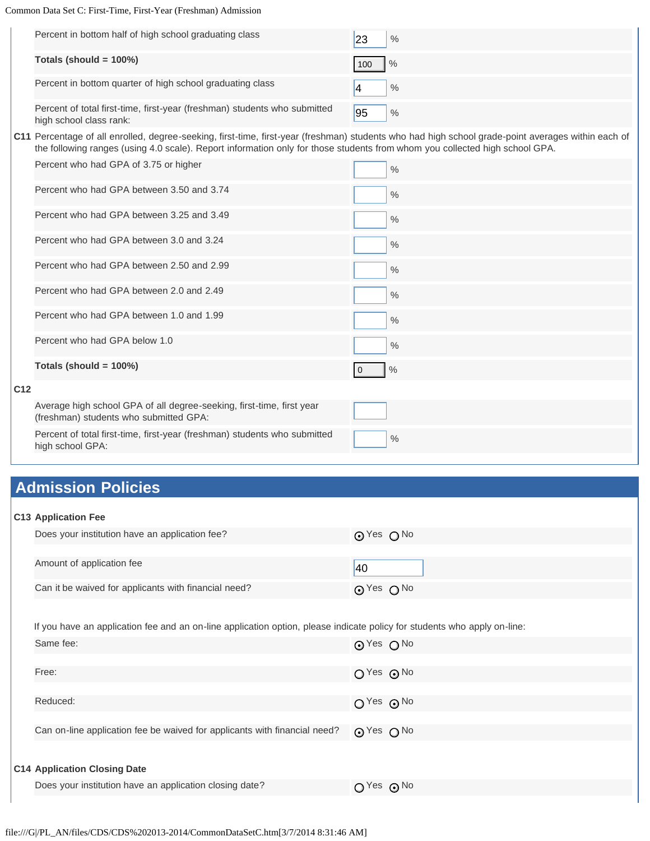| Percent in bottom half of high school graduating class                                               | $\%$                 |
|------------------------------------------------------------------------------------------------------|----------------------|
| Totals (should = $100\%$ )                                                                           | $\%$<br>100          |
| Percent in bottom quarter of high school graduating class                                            | $\%$                 |
| Percent of total first-time, first-year (freshman) students who submitted<br>high school class rank: | .95<br>$\frac{0}{0}$ |

**C11** Percentage of all enrolled, degree-seeking, first-time, first-year (freshman) students who had high school grade-point averages within each of the following ranges (using 4.0 scale). Report information only for those students from whom you collected high school GPA.

|                 | Percent who had GPA of 3.75 or higher                                                                           | $\frac{0}{0}$ |
|-----------------|-----------------------------------------------------------------------------------------------------------------|---------------|
|                 | Percent who had GPA between 3.50 and 3.74                                                                       | $\%$          |
|                 | Percent who had GPA between 3.25 and 3.49                                                                       | $\%$          |
|                 | Percent who had GPA between 3.0 and 3.24                                                                        | $\%$          |
|                 | Percent who had GPA between 2.50 and 2.99                                                                       | $\%$          |
|                 | Percent who had GPA between 2.0 and 2.49                                                                        | $\%$          |
|                 | Percent who had GPA between 1.0 and 1.99                                                                        | $\frac{0}{0}$ |
|                 | Percent who had GPA below 1.0                                                                                   | $\frac{0}{0}$ |
|                 | Totals (should = 100%)                                                                                          | $\%$<br>0     |
| C <sub>12</sub> |                                                                                                                 |               |
|                 | Average high school GPA of all degree-seeking, first-time, first year<br>(freshman) students who submitted GPA: |               |
|                 | Percent of total first-time, first-year (freshman) students who submitted<br>high school GPA:                   | $\frac{0}{0}$ |
|                 |                                                                                                                 |               |

# **Admission Policies**

### **C13 Application Fee**

| Does your institution have an application fee?       | $O$ Yes $O$ No |
|------------------------------------------------------|----------------|
| Amount of application fee                            |                |
| Can it be waived for applicants with financial need? | $O$ Yes $O$ No |

If you have an application fee and an on-line application option, please indicate policy for students who apply on-line:

| Same fee:                                                                 | $O$ Yes $O$ No         |  |
|---------------------------------------------------------------------------|------------------------|--|
| Free:                                                                     | $O$ Yes $O$ No         |  |
| Reduced:                                                                  | $OYes ONo$             |  |
| Can on-line application fee be waived for applicants with financial need? | $\odot$ Yes $\odot$ No |  |
|                                                                           |                        |  |
| <b>C14 Application Closing Date</b>                                       |                        |  |
| Does your institution have an application closing date?                   | $OYes$ $ONo$           |  |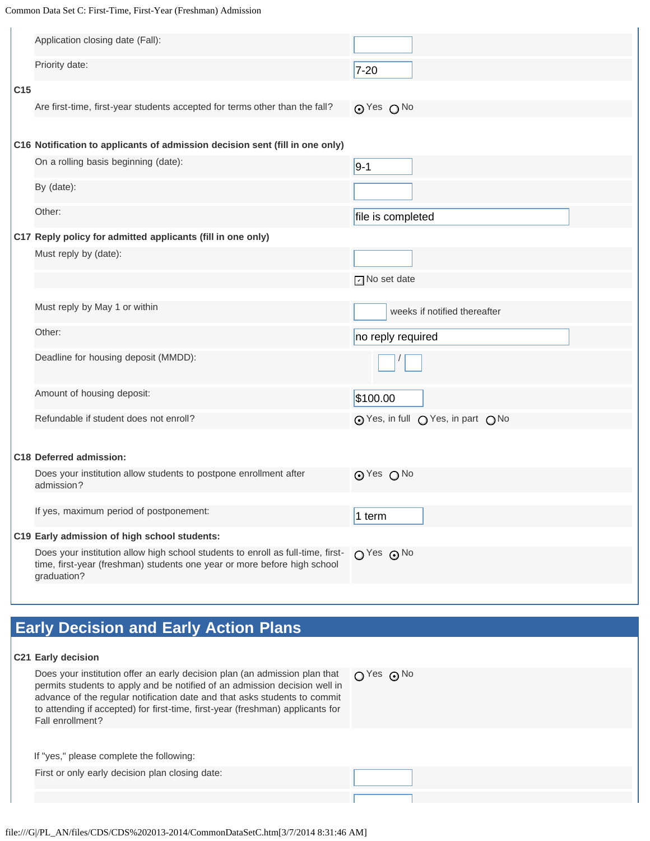|                 | Application closing date (Fall):                                                                                                                                           |                                    |
|-----------------|----------------------------------------------------------------------------------------------------------------------------------------------------------------------------|------------------------------------|
|                 |                                                                                                                                                                            |                                    |
|                 | Priority date:                                                                                                                                                             | $7 - 20$                           |
| C <sub>15</sub> |                                                                                                                                                                            |                                    |
|                 | Are first-time, first-year students accepted for terms other than the fall?                                                                                                | $\odot$ Yes $\odot$ No             |
|                 |                                                                                                                                                                            |                                    |
|                 | C16 Notification to applicants of admission decision sent (fill in one only)                                                                                               |                                    |
|                 | On a rolling basis beginning (date):                                                                                                                                       | $ 9-1 $                            |
|                 | By (date):                                                                                                                                                                 |                                    |
|                 | Other:                                                                                                                                                                     | file is completed                  |
|                 | C17 Reply policy for admitted applicants (fill in one only)                                                                                                                |                                    |
|                 | Must reply by (date):                                                                                                                                                      |                                    |
|                 |                                                                                                                                                                            | <b>D</b> No set date               |
|                 |                                                                                                                                                                            |                                    |
|                 | Must reply by May 1 or within                                                                                                                                              | weeks if notified thereafter       |
|                 | Other:                                                                                                                                                                     | no reply required                  |
|                 | Deadline for housing deposit (MMDD):                                                                                                                                       |                                    |
|                 | Amount of housing deposit:                                                                                                                                                 | \$100.00                           |
|                 | Refundable if student does not enroll?                                                                                                                                     | ⊙ Yes, in full ○ Yes, in part ○ No |
|                 |                                                                                                                                                                            |                                    |
|                 | C18 Deferred admission:                                                                                                                                                    |                                    |
|                 | Does your institution allow students to postpone enrollment after<br>admission?                                                                                            | $O$ Yes $O$ No                     |
|                 |                                                                                                                                                                            |                                    |
|                 | If yes, maximum period of postponement:                                                                                                                                    | 1 term                             |
|                 | C19 Early admission of high school students:                                                                                                                               |                                    |
|                 | Does your institution allow high school students to enroll as full-time, first-<br>time, first-year (freshman) students one year or more before high school<br>graduation? | $O$ Yes $O$ No                     |
|                 |                                                                                                                                                                            |                                    |
|                 |                                                                                                                                                                            |                                    |
|                 | <b>Early Decision and Early Action Plans</b>                                                                                                                               |                                    |

| Does your institution offer an early decision plan (an admission plan that<br>$\bigcirc$ Yes $\bigcirc$ No<br>permits students to apply and be notified of an admission decision well in<br>advance of the regular notification date and that asks students to commit |  |
|-----------------------------------------------------------------------------------------------------------------------------------------------------------------------------------------------------------------------------------------------------------------------|--|
| to attending if accepted) for first-time, first-year (freshman) applicants for<br>Fall enrollment?                                                                                                                                                                    |  |
| If "yes," please complete the following:                                                                                                                                                                                                                              |  |
| First or only early decision plan closing date:                                                                                                                                                                                                                       |  |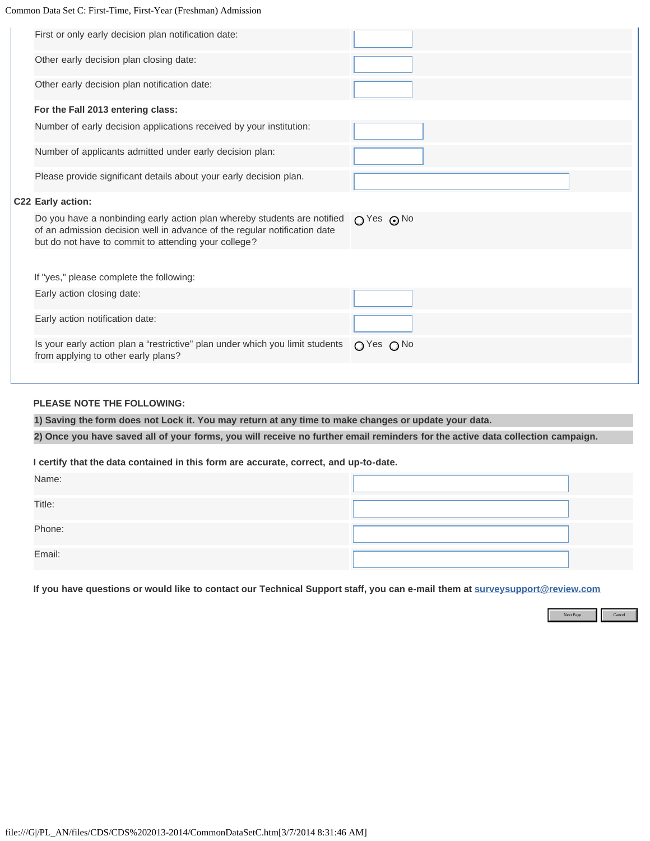| First or only early decision plan notification date:                                                                                                                                                          |                |
|---------------------------------------------------------------------------------------------------------------------------------------------------------------------------------------------------------------|----------------|
| Other early decision plan closing date:                                                                                                                                                                       |                |
| Other early decision plan notification date:                                                                                                                                                                  |                |
| For the Fall 2013 entering class:                                                                                                                                                                             |                |
| Number of early decision applications received by your institution:                                                                                                                                           |                |
| Number of applicants admitted under early decision plan:                                                                                                                                                      |                |
| Please provide significant details about your early decision plan.                                                                                                                                            |                |
| C22 Early action:                                                                                                                                                                                             |                |
| Do you have a nonbinding early action plan whereby students are notified<br>of an admission decision well in advance of the regular notification date<br>but do not have to commit to attending your college? | $OYes$ $ONo$   |
|                                                                                                                                                                                                               |                |
| If "yes," please complete the following:                                                                                                                                                                      |                |
| Early action closing date:                                                                                                                                                                                    |                |
| Early action notification date:                                                                                                                                                                               |                |
| Is your early action plan a "restrictive" plan under which you limit students<br>from applying to other early plans?                                                                                          | $O$ Yes $O$ No |
|                                                                                                                                                                                                               |                |

### **PLEASE NOTE THE FOLLOWING:**

**1) Saving the form does not Lock it. You may return at any time to make changes or update your data.**

**2) Once you have saved all of your forms, you will receive no further email reminders for the active data collection campaign.**

**I certify that the data contained in this form are accurate, correct, and up-to-date.**

| Name:  |  |
|--------|--|
| Title: |  |
| Phone: |  |
| Email: |  |

**If you have questions or would like to contact our Technical Support staff, you can e-mail them at [surveysupport@review.com](mailto:surveysupport@review.com)**

Next Page Cancel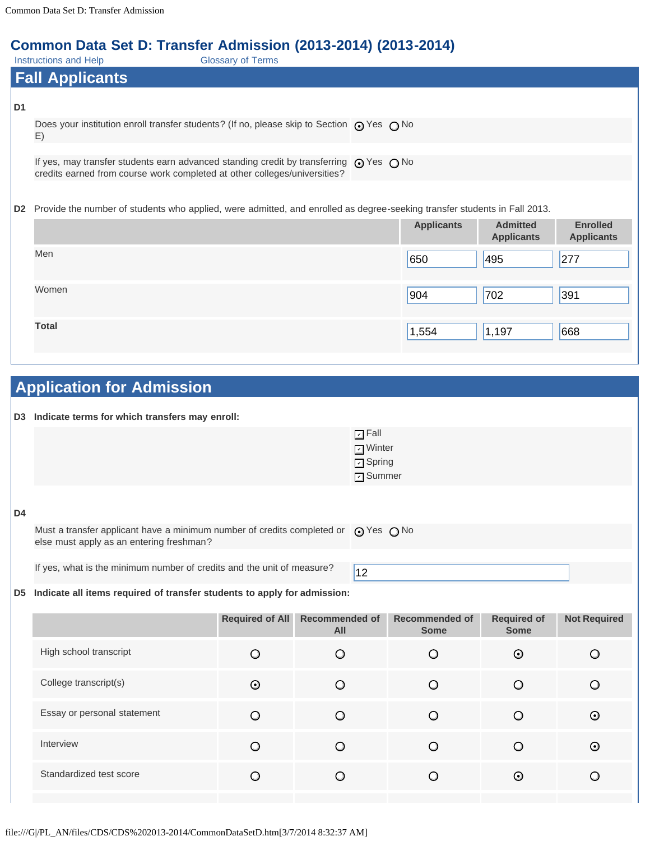Women

## **Common Data Set D: Transfer Admission (2013-2014) (2013-2014)**

|                | Instructions and Help                                                                                                                                                                 | <b>Glossary of Terms</b> |                   |                                      |                                      |
|----------------|---------------------------------------------------------------------------------------------------------------------------------------------------------------------------------------|--------------------------|-------------------|--------------------------------------|--------------------------------------|
|                | <b>Fall Applicants</b>                                                                                                                                                                |                          |                   |                                      |                                      |
| D <sub>1</sub> |                                                                                                                                                                                       |                          |                   |                                      |                                      |
|                | Does your institution enroll transfer students? (If no, please skip to Section ⊙ Yes ○ No<br>E)                                                                                       |                          |                   |                                      |                                      |
|                | If yes, may transfer students earn advanced standing credit by transferring $\bigcirc$ Yes $\bigcirc$ No<br>credits earned from course work completed at other colleges/universities? |                          |                   |                                      |                                      |
| D <sub>2</sub> | Provide the number of students who applied, were admitted, and enrolled as degree-seeking transfer students in Fall 2013.                                                             |                          |                   |                                      |                                      |
|                |                                                                                                                                                                                       |                          | <b>Applicants</b> | <b>Admitted</b><br><b>Applicants</b> | <b>Enrolled</b><br><b>Applicants</b> |
|                | Men                                                                                                                                                                                   |                          | 650               | 495                                  | 277                                  |

| Women        | 904   | 702   | 391 |
|--------------|-------|-------|-----|
| <b>Total</b> | .,554 | 1,197 | 668 |

# **Application for Admission**

### **D3 Indicate terms for which transfers may enroll:**

|    |                                                                                                                                                  | $\Box$ Fall<br><b>Z</b> Winter<br><b>□</b> Spring<br><b>D</b> Summer |  |
|----|--------------------------------------------------------------------------------------------------------------------------------------------------|----------------------------------------------------------------------|--|
| D4 |                                                                                                                                                  |                                                                      |  |
|    | Must a transfer applicant have a minimum number of credits completed or $\bigcirc$ Yes $\bigcirc$ No<br>else must apply as an entering freshman? |                                                                      |  |
|    | If yes, what is the minimum number of credits and the unit of measure?                                                                           | 12                                                                   |  |

### **D5 Indicate all items required of transfer students to apply for admission:**

|                             | <b>Required of All</b> | <b>Recommended of</b><br>All | <b>Recommended of</b><br><b>Some</b> | <b>Required of</b><br><b>Some</b> | <b>Not Required</b> |
|-----------------------------|------------------------|------------------------------|--------------------------------------|-----------------------------------|---------------------|
| High school transcript      | O                      | $\circ$                      | O                                    | $\odot$                           |                     |
| College transcript(s)       | $\odot$                | $\circ$                      |                                      | $\circ$                           | O                   |
| Essay or personal statement | O                      | $\circ$                      |                                      | $\circ$                           | $\odot$             |
| Interview                   | O                      | $\circ$                      |                                      | $\circ$                           | $\odot$             |
| Standardized test score     | O                      | O                            |                                      | $\odot$                           | O                   |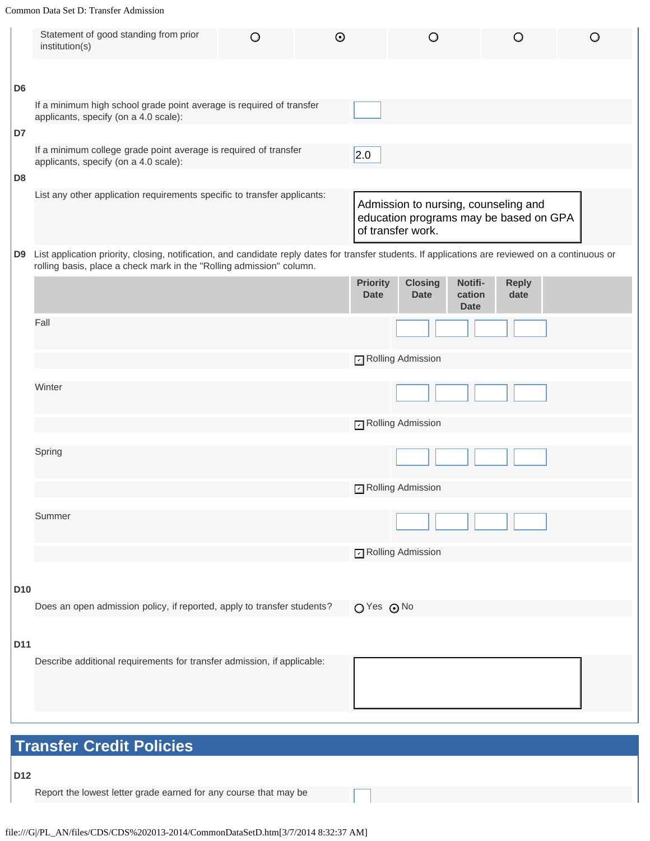#### Common Data Set D: Transfer Admission

|                 | Statement of good standing from prior<br>institution(s)                                                                                                                                                                    | $\circ$ | $\odot$                        | $\circ$                                                                                             | $\circ$              | $\circ$ |
|-----------------|----------------------------------------------------------------------------------------------------------------------------------------------------------------------------------------------------------------------------|---------|--------------------------------|-----------------------------------------------------------------------------------------------------|----------------------|---------|
| D <sub>6</sub>  |                                                                                                                                                                                                                            |         |                                |                                                                                                     |                      |         |
|                 | If a minimum high school grade point average is required of transfer<br>applicants, specify (on a 4.0 scale):                                                                                                              |         |                                |                                                                                                     |                      |         |
| D7              | If a minimum college grade point average is required of transfer<br>applicants, specify (on a 4.0 scale):                                                                                                                  |         | 2.0                            |                                                                                                     |                      |         |
| D <sub>8</sub>  |                                                                                                                                                                                                                            |         |                                |                                                                                                     |                      |         |
|                 | List any other application requirements specific to transfer applicants:                                                                                                                                                   |         |                                | Admission to nursing, counseling and<br>education programs may be based on GPA<br>of transfer work. |                      |         |
| D9              | List application priority, closing, notification, and candidate reply dates for transfer students. If applications are reviewed on a continuous or<br>rolling basis, place a check mark in the "Rolling admission" column. |         |                                |                                                                                                     |                      |         |
|                 |                                                                                                                                                                                                                            |         | <b>Priority</b><br><b>Date</b> | <b>Closing</b><br>Notifi-<br><b>Date</b><br>cation<br><b>Date</b>                                   | <b>Reply</b><br>date |         |
|                 | Fall                                                                                                                                                                                                                       |         |                                |                                                                                                     |                      |         |
|                 |                                                                                                                                                                                                                            |         |                                | Rolling Admission                                                                                   |                      |         |
|                 | Winter                                                                                                                                                                                                                     |         |                                |                                                                                                     |                      |         |
|                 |                                                                                                                                                                                                                            |         |                                | Rolling Admission                                                                                   |                      |         |
|                 | Spring                                                                                                                                                                                                                     |         |                                |                                                                                                     |                      |         |
|                 |                                                                                                                                                                                                                            |         |                                | □ Rolling Admission                                                                                 |                      |         |
|                 | Summer                                                                                                                                                                                                                     |         |                                |                                                                                                     |                      |         |
|                 |                                                                                                                                                                                                                            |         |                                | Rolling Admission                                                                                   |                      |         |
|                 |                                                                                                                                                                                                                            |         |                                |                                                                                                     |                      |         |
| D <sub>10</sub> |                                                                                                                                                                                                                            |         |                                |                                                                                                     |                      |         |
|                 | Does an open admission policy, if reported, apply to transfer students?                                                                                                                                                    |         |                                | OYes ⊙No                                                                                            |                      |         |
| D <sub>11</sub> |                                                                                                                                                                                                                            |         |                                |                                                                                                     |                      |         |
|                 | Describe additional requirements for transfer admission, if applicable:                                                                                                                                                    |         |                                |                                                                                                     |                      |         |
|                 |                                                                                                                                                                                                                            |         |                                |                                                                                                     |                      |         |
|                 | <b>Transfer Credit Policies</b>                                                                                                                                                                                            |         |                                |                                                                                                     |                      |         |

### **D12**

Report the lowest letter grade earned for any course that may be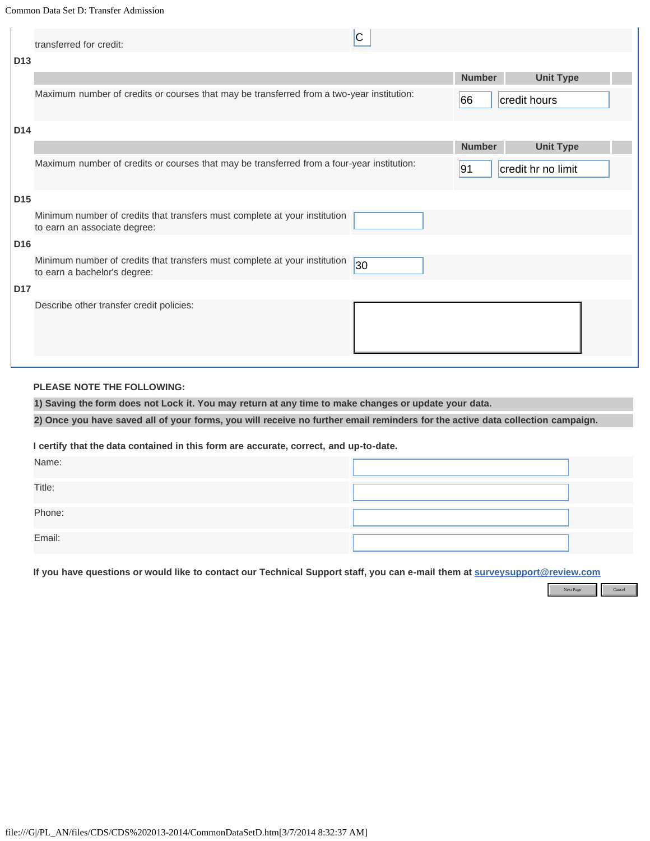#### Common Data Set D: Transfer Admission

|            | transferred for credit:                                                                                    | $\overline{C}$  |                    |                    |
|------------|------------------------------------------------------------------------------------------------------------|-----------------|--------------------|--------------------|
| <b>D13</b> |                                                                                                            |                 |                    |                    |
|            |                                                                                                            |                 | <b>Number</b>      | <b>Unit Type</b>   |
|            | Maximum number of credits or courses that may be transferred from a two-year institution:                  |                 | 66<br>credit hours |                    |
| <b>D14</b> |                                                                                                            |                 |                    |                    |
|            |                                                                                                            |                 | <b>Number</b>      | <b>Unit Type</b>   |
|            | Maximum number of credits or courses that may be transferred from a four-year institution:                 |                 | 91                 | credit hr no limit |
| <b>D15</b> |                                                                                                            |                 |                    |                    |
|            | Minimum number of credits that transfers must complete at your institution<br>to earn an associate degree: |                 |                    |                    |
| <b>D16</b> |                                                                                                            |                 |                    |                    |
|            | Minimum number of credits that transfers must complete at your institution<br>to earn a bachelor's degree: | 30 <sub>o</sub> |                    |                    |
| <b>D17</b> |                                                                                                            |                 |                    |                    |
|            | Describe other transfer credit policies:                                                                   |                 |                    |                    |

### **PLEASE NOTE THE FOLLOWING:**

**1) Saving the form does not Lock it. You may return at any time to make changes or update your data.**

**2) Once you have saved all of your forms, you will receive no further email reminders for the active data collection campaign.**

**I certify that the data contained in this form are accurate, correct, and up-to-date.**

| Name:  |  |
|--------|--|
| Title: |  |
| Phone: |  |
| Email: |  |

**If you have questions or would like to contact our Technical Support staff, you can e-mail them at [surveysupport@review.com](mailto:surveysupport@review.com)**

Next Page Cancel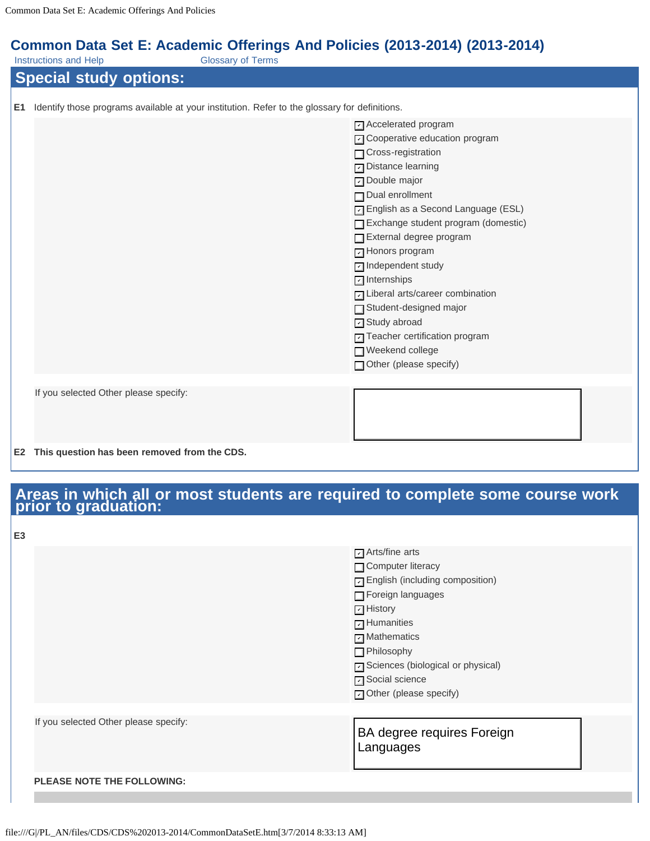# **Common Data Set E: Academic Offerings And Policies (2013-2014) (2013-2014)**

|                | <b>Instructions and Help</b>                                                                     | $5.114$ . $0.10100$ $10.10$ $10.1$ $10.10$ $10.1$ $1$<br><b>Glossary of Terms</b>                                                                                                                                                                                                                                                                                                                                                                                                       |  |  |  |
|----------------|--------------------------------------------------------------------------------------------------|-----------------------------------------------------------------------------------------------------------------------------------------------------------------------------------------------------------------------------------------------------------------------------------------------------------------------------------------------------------------------------------------------------------------------------------------------------------------------------------------|--|--|--|
|                | <b>Special study options:</b>                                                                    |                                                                                                                                                                                                                                                                                                                                                                                                                                                                                         |  |  |  |
|                |                                                                                                  |                                                                                                                                                                                                                                                                                                                                                                                                                                                                                         |  |  |  |
|                | E1 Identify those programs available at your institution. Refer to the glossary for definitions. |                                                                                                                                                                                                                                                                                                                                                                                                                                                                                         |  |  |  |
|                |                                                                                                  | □ Accelerated program<br>Cooperative education program<br>□ Cross-registration<br>Distance learning<br>Double major<br>Dual enrollment<br>7 English as a Second Language (ESL)<br>Exchange student program (domestic)<br>External degree program<br><b>기</b> Honors program<br>Independent study<br>$\Box$ Internships<br>I Liberal arts/career combination<br>Student-designed major<br>Study abroad<br>Teacher certification program<br>□ Weekend college<br>□ Other (please specify) |  |  |  |
|                | If you selected Other please specify:                                                            |                                                                                                                                                                                                                                                                                                                                                                                                                                                                                         |  |  |  |
|                | E2 This question has been removed from the CDS.                                                  |                                                                                                                                                                                                                                                                                                                                                                                                                                                                                         |  |  |  |
|                |                                                                                                  |                                                                                                                                                                                                                                                                                                                                                                                                                                                                                         |  |  |  |
|                |                                                                                                  |                                                                                                                                                                                                                                                                                                                                                                                                                                                                                         |  |  |  |
|                |                                                                                                  | Areas in which all or most students are required to complete some course work                                                                                                                                                                                                                                                                                                                                                                                                           |  |  |  |
| E <sub>3</sub> |                                                                                                  |                                                                                                                                                                                                                                                                                                                                                                                                                                                                                         |  |  |  |
|                |                                                                                                  |                                                                                                                                                                                                                                                                                                                                                                                                                                                                                         |  |  |  |
|                |                                                                                                  | $\Box$ Arts/fine arts<br>Computer literacy                                                                                                                                                                                                                                                                                                                                                                                                                                              |  |  |  |
|                |                                                                                                  | Figlish (including composition)                                                                                                                                                                                                                                                                                                                                                                                                                                                         |  |  |  |

| Foreign languages |  |
|-------------------|--|
|-------------------|--|

- **기** History
- Humanities ✔
- Mathematics ✔
- **Philosophy**
- 7 Sciences (biological or physical)
- Social science ✔
- **ource** (please specify)

BA degree requires Foreign Languages

### **PLEASE NOTE THE FOLLOWING:**

If you selected Other please specify: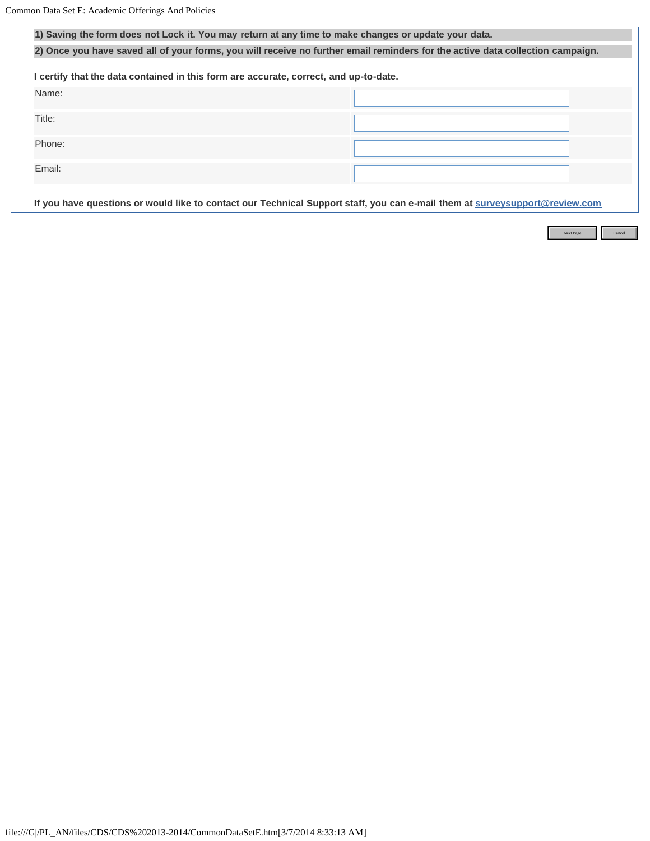| 1) Saving the form does not Lock it. You may return at any time to make changes or update your data.                           |  |  |  |  |
|--------------------------------------------------------------------------------------------------------------------------------|--|--|--|--|
| 2) Once you have saved all of your forms, you will receive no further email reminders for the active data collection campaign. |  |  |  |  |
| I certify that the data contained in this form are accurate, correct, and up-to-date.                                          |  |  |  |  |
| Name:                                                                                                                          |  |  |  |  |
| Title:                                                                                                                         |  |  |  |  |
| Phone:                                                                                                                         |  |  |  |  |
| Email:                                                                                                                         |  |  |  |  |
| If you have questions or would like to contact our Technical Support staff, you can e-mail them at survey support @review.com  |  |  |  |  |

Next Page Cancel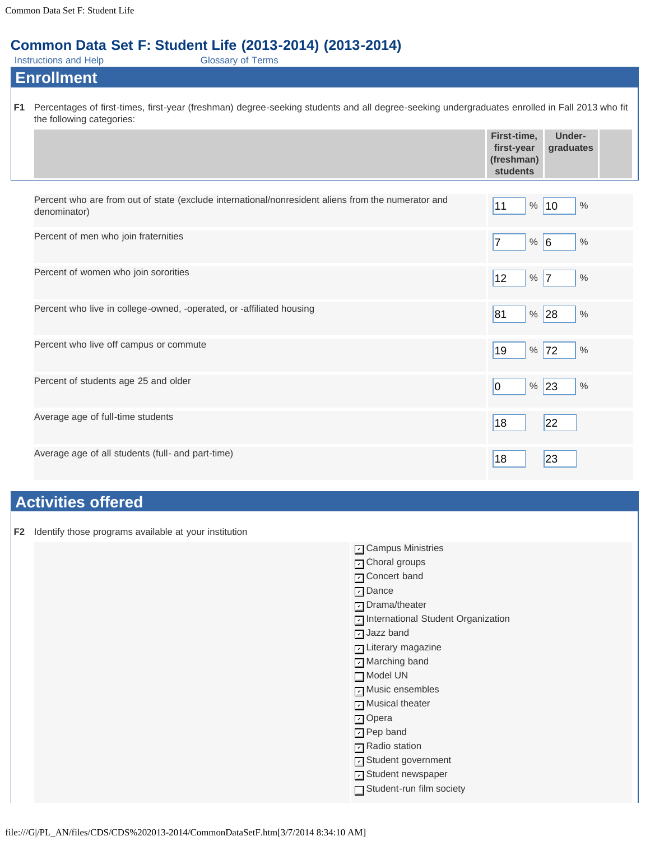# **Common Data Set F: Student Life (2013-2014) (2013-2014)**<br> **Clossary of Terms**

[Instructions and Help](javascript:;)

**F1** Percentages of first-times, first-year (freshman) degree-seeking students and all degree-seeking undergraduates enrolled in Fall 2013 who fit the following categories:

|                                                                                                                    | First-time,<br><b>Under-</b><br>first-year<br>graduates<br>(freshman)<br><b>students</b> |
|--------------------------------------------------------------------------------------------------------------------|------------------------------------------------------------------------------------------|
|                                                                                                                    |                                                                                          |
| Percent who are from out of state (exclude international/nonresident aliens from the numerator and<br>denominator) | $\%$<br>$\frac{0}{0}$<br>11<br>10                                                        |
| Percent of men who join fraternities                                                                               | $\overline{7}$<br>% 6<br>$\%$                                                            |
| Percent of women who join sororities                                                                               | $\%$<br>$\%$<br>$\overline{7}$<br>12 <sub>2</sub>                                        |
| Percent who live in college-owned, -operated, or -affiliated housing                                               | $\%$<br>%<br>28<br>81                                                                    |
| Percent who live off campus or commute                                                                             | 72<br>$\frac{0}{0}$<br>19<br>%                                                           |
| Percent of students age 25 and older                                                                               | $\%$<br>%<br>23<br>$\overline{0}$                                                        |
| Average age of full-time students                                                                                  | 22<br>18                                                                                 |
| Average age of all students (full- and part-time)                                                                  | 23<br>18                                                                                 |

# **Activities offered**

**F2** Identify those programs available at your institution

| <b>□</b> Campus Ministries         |
|------------------------------------|
| <b>□</b> Choral groups             |
| □ Concert band                     |
| 口Dance                             |
| <b>□</b> Drama/theater             |
| International Student Organization |
| <b>जि</b> Jazz band                |
| □ Literary magazine                |
| <b>जि</b> Marching band            |
| $\Box$ Model UN                    |
| □ Music ensembles                  |
| □ Musical theater                  |
| <b>口</b> Opera                     |
| □ Pep band                         |
| □ Radio station                    |
| <b>□</b> Student government        |
| □ Student newspaper                |
| Student-run film society           |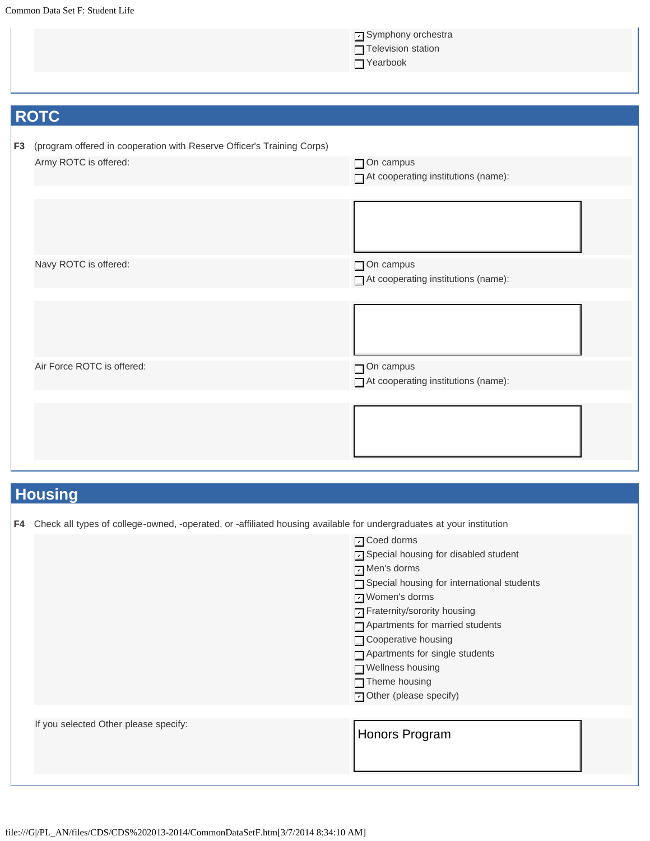| □ Symphony orchestra      |  |
|---------------------------|--|
| $\Box$ Television station |  |
| $\Box$ Yearbook           |  |

# **ROTC**

| F <sub>3</sub> | (program offered in cooperation with Reserve Officer's Training Corps) |                                                         |  |  |  |
|----------------|------------------------------------------------------------------------|---------------------------------------------------------|--|--|--|
|                | Army ROTC is offered:                                                  | $\Box$ On campus<br>At cooperating institutions (name): |  |  |  |
|                |                                                                        |                                                         |  |  |  |
|                | Navy ROTC is offered:                                                  | $\Box$ On campus<br>At cooperating institutions (name): |  |  |  |
|                |                                                                        |                                                         |  |  |  |
|                | Air Force ROTC is offered:                                             | $\Box$ On campus<br>At cooperating institutions (name): |  |  |  |
|                |                                                                        |                                                         |  |  |  |

# **Housing**

**F4** Check all types of college-owned, -operated, or -affiliated housing available for undergraduates at your institution

|                                       | □ Coed dorms                               |
|---------------------------------------|--------------------------------------------|
|                                       | Special housing for disabled student       |
|                                       | <b>□</b> Men's dorms                       |
|                                       | Special housing for international students |
|                                       | □ Women's dorms                            |
|                                       | Fraternity/sorority housing                |
|                                       | Apartments for married students            |
|                                       | □ Cooperative housing                      |
|                                       | Apartments for single students             |
|                                       | □ Wellness housing                         |
|                                       | $\Box$ Theme housing                       |
|                                       | Other (please specify)                     |
|                                       |                                            |
| If you selected Other please specify: | <b>Honors Program</b>                      |
|                                       |                                            |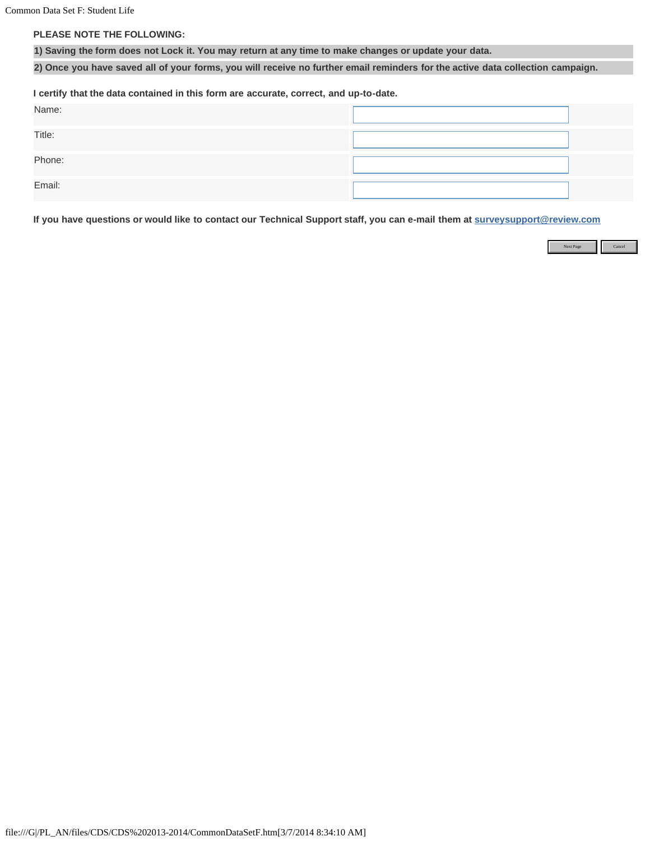### **PLEASE NOTE THE FOLLOWING:**

**1) Saving the form does not Lock it. You may return at any time to make changes or update your data.**

**2) Once you have saved all of your forms, you will receive no further email reminders for the active data collection campaign.**

**I certify that the data contained in this form are accurate, correct, and up-to-date.**

| Name:  |  |
|--------|--|
| Title: |  |
| Phone: |  |
| Email: |  |

**If you have questions or would like to contact our Technical Support staff, you can e-mail them at [surveysupport@review.com](mailto:surveysupport@review.com)**

Next Page Cancel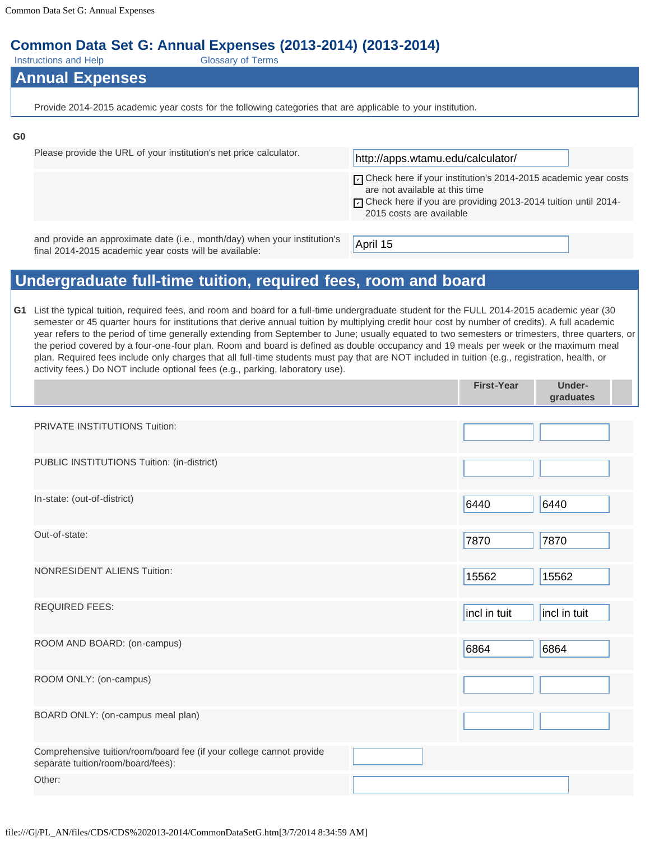## **Common Data Set G: Annual Expenses (2013-2014) (2013-2014)**

| <b>Glossary of Terms</b> |  |  |
|--------------------------|--|--|
|--------------------------|--|--|

| Instructions and Help  | <b>Glossary of Terms</b> |
|------------------------|--------------------------|
| <b>Annual Expenses</b> |                          |
|                        |                          |

Provide 2014-2015 academic year costs for the following categories that are applicable to your institution.

#### **G0**

| Please provide the URL of your institution's net price calculator.                                                                  | http://apps.wtamu.edu/calculator/                                                                                                                                                             |
|-------------------------------------------------------------------------------------------------------------------------------------|-----------------------------------------------------------------------------------------------------------------------------------------------------------------------------------------------|
|                                                                                                                                     | Oheck here if your institution's 2014-2015 academic year costs<br>are not available at this time<br>Oheck here if you are providing 2013-2014 tuition until 2014-<br>2015 costs are available |
| and provide an approximate date (i.e., month/day) when your institution's<br>final 2014-2015 academic year costs will be available: | April 15                                                                                                                                                                                      |

# **Undergraduate full-time tuition, required fees, room and board**

**G1** List the typical tuition, required fees, and room and board for a full-time undergraduate student for the FULL 2014-2015 academic year (30 semester or 45 quarter hours for institutions that derive annual tuition by multiplying credit hour cost by number of credits). A full academic year refers to the period of time generally extending from September to June; usually equated to two semesters or trimesters, three quarters, or the period covered by a four-one-four plan. Room and board is defined as double occupancy and 19 meals per week or the maximum meal plan. Required fees include only charges that all full-time students must pay that are NOT included in tuition (e.g., registration, health, or activity fees.) Do NOT include optional fees (e.g., parking, laboratory use).

|                                                                                                            | <b>First-Year</b> | Under-<br>graduates |  |
|------------------------------------------------------------------------------------------------------------|-------------------|---------------------|--|
| PRIVATE INSTITUTIONS Tuition:                                                                              |                   |                     |  |
| PUBLIC INSTITUTIONS Tuition: (in-district)                                                                 |                   |                     |  |
| In-state: (out-of-district)                                                                                | 6440              | 6440                |  |
| Out-of-state:                                                                                              | 7870              | 7870                |  |
| NONRESIDENT ALIENS Tuition:                                                                                | 15562             | 15562               |  |
| <b>REQUIRED FEES:</b>                                                                                      | incl in tuit      | incl in tuit        |  |
| ROOM AND BOARD: (on-campus)                                                                                | 6864              | 6864                |  |
| ROOM ONLY: (on-campus)                                                                                     |                   |                     |  |
| BOARD ONLY: (on-campus meal plan)                                                                          |                   |                     |  |
| Comprehensive tuition/room/board fee (if your college cannot provide<br>separate tuition/room/board/fees): |                   |                     |  |
| Other:                                                                                                     |                   |                     |  |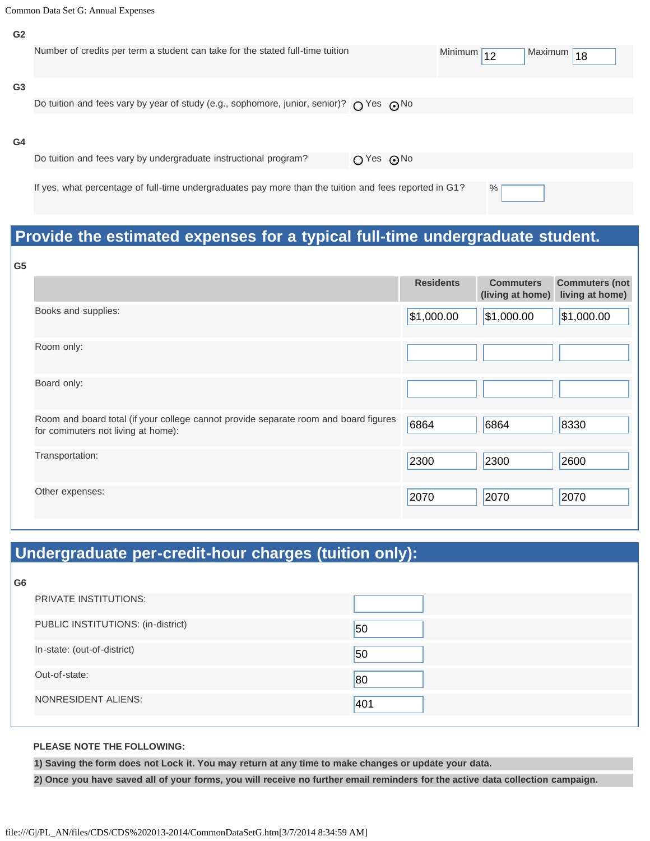#### **G2**

|                | Number of credits per term a student can take for the stated full-time tuition                            |                | $M$ inimum   12 | Maximum | 18 |
|----------------|-----------------------------------------------------------------------------------------------------------|----------------|-----------------|---------|----|
| G <sub>3</sub> |                                                                                                           |                |                 |         |    |
|                | Do tuition and fees vary by year of study (e.g., sophomore, junior, senior)? $\bigcirc$ Yes $\bigcirc$ No |                |                 |         |    |
|                |                                                                                                           |                |                 |         |    |
| G <sub>4</sub> |                                                                                                           |                |                 |         |    |
|                | Do tuition and fees vary by undergraduate instructional program?                                          | $O$ Yes $O$ No |                 |         |    |
|                |                                                                                                           |                |                 |         |    |

If yes, what percentage of full-time undergraduates pay more than the tuition and fees reported in G1? %

# **Provide the estimated expenses for a typical full-time undergraduate student.**

| G <sub>5</sub> |                                                                                                                            |                  |                                      |                                          |
|----------------|----------------------------------------------------------------------------------------------------------------------------|------------------|--------------------------------------|------------------------------------------|
|                |                                                                                                                            | <b>Residents</b> | <b>Commuters</b><br>(living at home) | <b>Commuters (not</b><br>living at home) |
|                | Books and supplies:                                                                                                        | \$1,000.00       | \$1,000.00                           | \$1,000.00                               |
|                | Room only:                                                                                                                 |                  |                                      |                                          |
|                | Board only:                                                                                                                |                  |                                      |                                          |
|                | Room and board total (if your college cannot provide separate room and board figures<br>for commuters not living at home): | 6864             | 6864                                 | 8330                                     |
|                | Transportation:                                                                                                            | 2300             | 2300                                 | 2600                                     |
|                | Other expenses:                                                                                                            | 2070             | 2070                                 | 2070                                     |

### **Undergraduate per-credit-hour charges (tuition only):**

| G <sub>6</sub> |                                    |     |
|----------------|------------------------------------|-----|
|                | <b>PRIVATE INSTITUTIONS:</b>       |     |
|                | PUBLIC INSTITUTIONS: (in-district) | 50  |
|                | In-state: (out-of-district)        | 50  |
|                | Out-of-state:                      | 80  |
|                | NONRESIDENT ALIENS:                | 401 |

### **PLEASE NOTE THE FOLLOWING:**

**1) Saving the form does not Lock it. You may return at any time to make changes or update your data.**

**2) Once you have saved all of your forms, you will receive no further email reminders for the active data collection campaign.**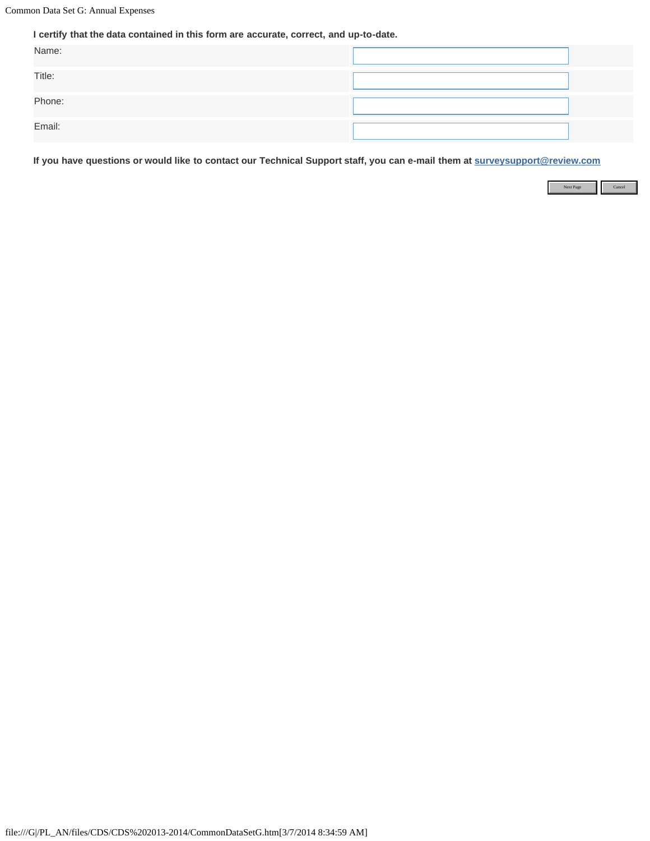#### Common Data Set G: Annual Expenses

### **I certify that the data contained in this form are accurate, correct, and up-to-date.**

| Name:  |  |
|--------|--|
| Title: |  |
| Phone: |  |
| Email: |  |

**If you have questions or would like to contact our Technical Support staff, you can e-mail them at [surveysupport@review.com](mailto:surveysupport@review.com)**

Next Page Cancel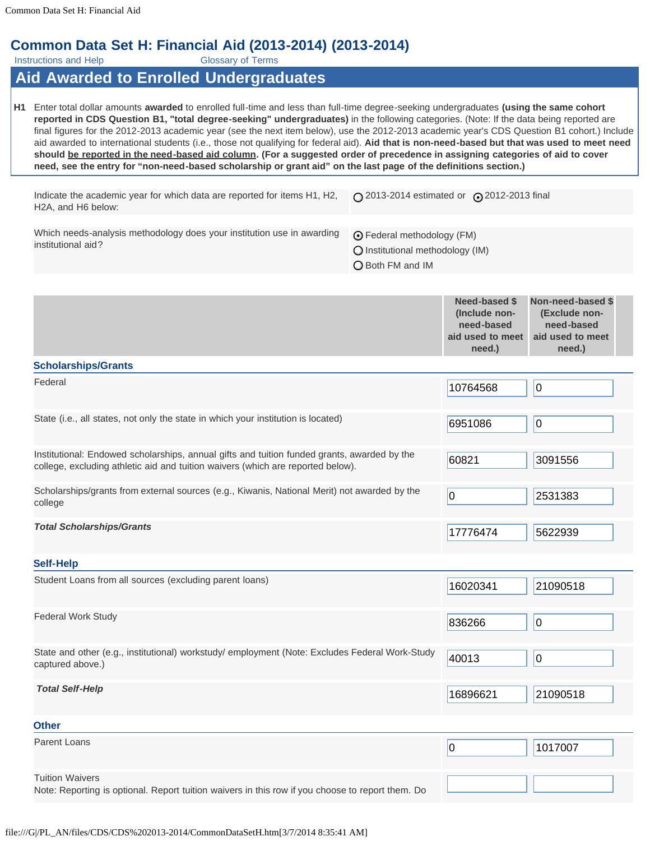### **Common Data Set H: Financial Aid (2013-2014) (2013-2014)**

[Instructions and Help](javascript:;) [Glossary of Terms](javascript:;)

### **Aid Awarded to Enrolled Undergraduates**

**H1** Enter total dollar amounts **awarded** to enrolled full-time and less than full-time degree-seeking undergraduates **(using the same cohort reported in CDS Question B1, "total degree-seeking" undergraduates)** in the following categories. (Note: If the data being reported are final figures for the 2012-2013 academic year (see the next item below), use the 2012-2013 academic year's CDS Question B1 cohort.) Include aid awarded to international students (i.e., those not qualifying for federal aid). **Aid that is non-need-based but that was used to meet need should be reported in the need-based aid column. (For a suggested order of precedence in assigning categories of aid to cover need, see the entry for "non-need-based scholarship or grant aid" on the last page of the definitions section.)**

| Indicate the academic year for which data are reported for items H1, H2, $\bigcirc$ 2013-2014 estimated or $\bigcirc$ 2012-2013 final<br>H2A, and H6 below: |                                                                                    |
|-------------------------------------------------------------------------------------------------------------------------------------------------------------|------------------------------------------------------------------------------------|
| Which needs-analysis methodology does your institution use in awarding<br>institutional aid?                                                                | ⊙ Federal methodology (FM)<br>O Institutional methodology (IM)<br>◯ Both FM and IM |

|                            | Need-based \$    | Non-need-based \$ |
|----------------------------|------------------|-------------------|
|                            | (Include non-    | (Exclude non-     |
|                            | need-based       | need-based        |
|                            | aid used to meet | aid used to meet  |
|                            | need.)           | need.)            |
| <b>Scholarships/Grants</b> |                  |                   |

| Federal                                                                                                                                                                        | 10764568<br>0       |
|--------------------------------------------------------------------------------------------------------------------------------------------------------------------------------|---------------------|
| State (i.e., all states, not only the state in which your institution is located)                                                                                              | 6951086<br>0        |
| Institutional: Endowed scholarships, annual gifts and tuition funded grants, awarded by the<br>college, excluding athletic aid and tuition waivers (which are reported below). | 60821<br>3091556    |
| Scholarships/grants from external sources (e.g., Kiwanis, National Merit) not awarded by the<br>college                                                                        | 2531383             |
| <b>Total Scholarships/Grants</b>                                                                                                                                               | 17776474<br>5622939 |

| <b>Self-Help</b>                                                                                                           |          |                |
|----------------------------------------------------------------------------------------------------------------------------|----------|----------------|
| Student Loans from all sources (excluding parent loans)                                                                    | 16020341 | 21090518       |
| <b>Federal Work Study</b>                                                                                                  | 836266   | $\overline{0}$ |
| State and other (e.g., institutional) workstudy/ employment (Note: Excludes Federal Work-Study<br>captured above.)         | 40013    | 0              |
| <b>Total Self-Help</b>                                                                                                     | 16896621 | 21090518       |
| <b>Other</b>                                                                                                               |          |                |
| <b>Parent Loans</b>                                                                                                        | 10       | 1017007        |
| <b>Tuition Waivers</b><br>Note: Reporting is optional. Report tuition waivers in this row if you choose to report them. Do |          |                |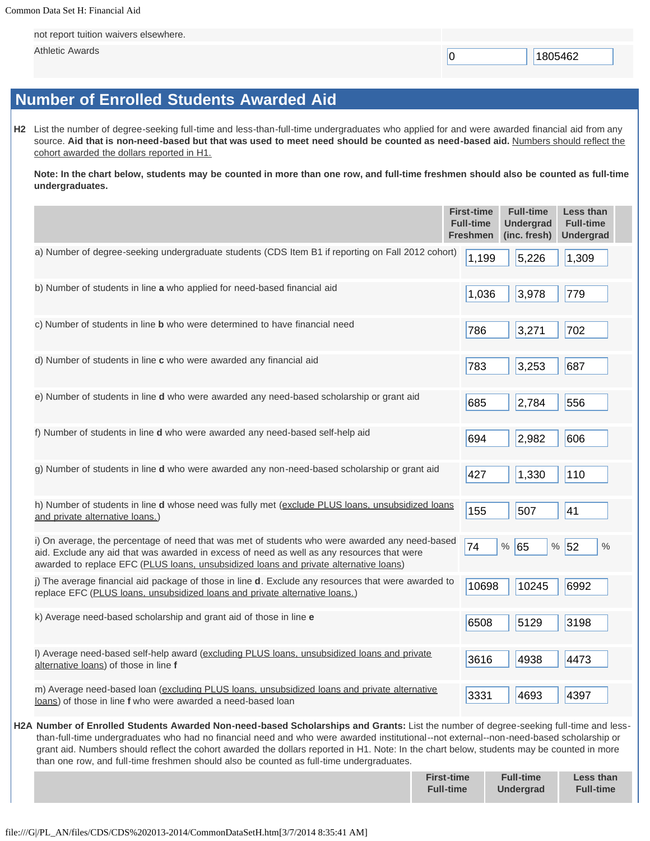Athletic Awards

0 1805462

## **Number of Enrolled Students Awarded Aid**

**H2** List the number of degree-seeking full-time and less-than-full-time undergraduates who applied for and were awarded financial aid from any source. **Aid that is non-need-based but that was used to meet need should be counted as need-based aid.** Numbers should reflect the cohort awarded the dollars reported in H1.

**Note: In the chart below, students may be counted in more than one row, and full-time freshmen should also be counted as full-time undergraduates.**

|                                                                                                                                                                                                                                                                                       | <b>First-time</b><br><b>Full-time</b><br><b>Freshmen</b> | <b>Full-time</b><br><b>Undergrad</b><br>(inc. fresh) | Less than<br><b>Full-time</b><br><b>Undergrad</b> |
|---------------------------------------------------------------------------------------------------------------------------------------------------------------------------------------------------------------------------------------------------------------------------------------|----------------------------------------------------------|------------------------------------------------------|---------------------------------------------------|
| a) Number of degree-seeking undergraduate students (CDS Item B1 if reporting on Fall 2012 cohort)                                                                                                                                                                                     | 1,199                                                    | 5,226                                                | 1,309                                             |
| b) Number of students in line a who applied for need-based financial aid                                                                                                                                                                                                              | 1,036                                                    | 3,978                                                | 779                                               |
| c) Number of students in line <b>b</b> who were determined to have financial need                                                                                                                                                                                                     | 786                                                      | 3,271                                                | 702                                               |
| d) Number of students in line c who were awarded any financial aid                                                                                                                                                                                                                    | 783                                                      | 3,253                                                | 687                                               |
| e) Number of students in line d who were awarded any need-based scholarship or grant aid                                                                                                                                                                                              | 685                                                      | 2,784                                                | 556                                               |
| f) Number of students in line d who were awarded any need-based self-help aid                                                                                                                                                                                                         | 694                                                      | 2,982                                                | 606                                               |
| g) Number of students in line d who were awarded any non-need-based scholarship or grant aid                                                                                                                                                                                          | 427                                                      | 1,330                                                | 110                                               |
| h) Number of students in line d whose need was fully met (exclude PLUS loans, unsubsidized loans<br>and private alternative loans.)                                                                                                                                                   | 155                                                      | 507                                                  | 41                                                |
| i) On average, the percentage of need that was met of students who were awarded any need-based<br>aid. Exclude any aid that was awarded in excess of need as well as any resources that were<br>awarded to replace EFC (PLUS loans, unsubsidized loans and private alternative loans) | 74                                                       | % 65                                                 | $\frac{0}{0}$<br>% 52                             |
| j) The average financial aid package of those in line d. Exclude any resources that were awarded to<br>replace EFC (PLUS loans, unsubsidized loans and private alternative loans.)                                                                                                    | 10698                                                    | 10245                                                | 6992                                              |
| k) Average need-based scholarship and grant aid of those in line e                                                                                                                                                                                                                    | 6508                                                     | 5129                                                 | 3198                                              |
| I) Average need-based self-help award (excluding PLUS loans, unsubsidized loans and private<br>alternative loans) of those in line f                                                                                                                                                  | 3616                                                     | 4938                                                 | 4473                                              |
| m) Average need-based loan (excluding PLUS loans, unsubsidized loans and private alternative<br>loans) of those in line f who were awarded a need-based loan                                                                                                                          | 3331                                                     | 4693                                                 | 4397                                              |
| Number of Enrolled Students Awarded Non-need-based Scholarshins and Grants: List the number of degree-seeking full-time and less.                                                                                                                                                     |                                                          |                                                      |                                                   |

**H2A Number of Enrolled Students Awarded Non-need-based Scholarships and Grants:** List the number of degree-seeking full-time and lessthan-full-time undergraduates who had no financial need and who were awarded institutional--not external--non-need-based scholarship or grant aid. Numbers should reflect the cohort awarded the dollars reported in H1. Note: In the chart below, students may be counted in more than one row, and full-time freshmen should also be counted as full-time undergraduates.

|  | <b>First-time</b><br><b>Full-time</b> | <b>Full-time</b><br><b>Undergrad</b> | <b>Less than</b><br><b>Full-time</b> |  |
|--|---------------------------------------|--------------------------------------|--------------------------------------|--|
|--|---------------------------------------|--------------------------------------|--------------------------------------|--|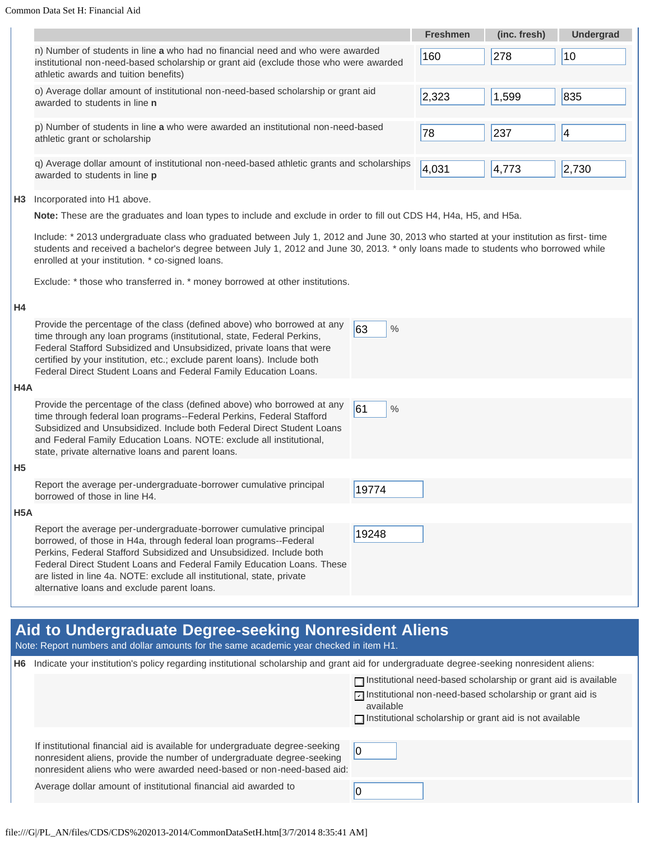| 160   | 278   | 10    |
|-------|-------|-------|
| 2,323 | 1,599 | 835   |
| 78    | 237   |       |
| 4,031 | 4,773 | 2,730 |
|       |       |       |

**Freshmen (inc. fresh) Undergrad**

#### **H3** Incorporated into H1 above.

**Note:** These are the graduates and loan types to include and exclude in order to fill out CDS H4, H4a, H5, and H5a.

Include: \* 2013 undergraduate class who graduated between July 1, 2012 and June 30, 2013 who started at your institution as first- time students and received a bachelor's degree between July 1, 2012 and June 30, 2013. \* only loans made to students who borrowed while enrolled at your institution. \* co-signed loans.

Exclude: \* those who transferred in. \* money borrowed at other institutions.

#### **H4**

|     | Provide the percentage of the class (defined above) who borrowed at any<br>time through any loan programs (institutional, state, Federal Perkins,<br>Federal Stafford Subsidized and Unsubsidized, private loans that were<br>certified by your institution, etc.; exclude parent loans). Include both<br>Federal Direct Student Loans and Federal Family Education Loans.                                        | 63<br>$\frac{0}{0}$ |
|-----|-------------------------------------------------------------------------------------------------------------------------------------------------------------------------------------------------------------------------------------------------------------------------------------------------------------------------------------------------------------------------------------------------------------------|---------------------|
| H4A |                                                                                                                                                                                                                                                                                                                                                                                                                   |                     |
|     | Provide the percentage of the class (defined above) who borrowed at any<br>time through federal loan programs--Federal Perkins, Federal Stafford<br>Subsidized and Unsubsidized. Include both Federal Direct Student Loans<br>and Federal Family Education Loans. NOTE: exclude all institutional,<br>state, private alternative loans and parent loans.                                                          | 61<br>$\frac{0}{0}$ |
| Н5  |                                                                                                                                                                                                                                                                                                                                                                                                                   |                     |
|     | Report the average per-undergraduate-borrower cumulative principal<br>borrowed of those in line H4.                                                                                                                                                                                                                                                                                                               | 19774               |
| H5A |                                                                                                                                                                                                                                                                                                                                                                                                                   |                     |
|     | Report the average per-undergraduate-borrower cumulative principal<br>borrowed, of those in H4a, through federal loan programs--Federal<br>Perkins, Federal Stafford Subsidized and Unsubsidized. Include both<br>Federal Direct Student Loans and Federal Family Education Loans. These<br>are listed in line 4a. NOTE: exclude all institutional, state, private<br>alternative loans and exclude parent loans. | 19248               |
|     |                                                                                                                                                                                                                                                                                                                                                                                                                   |                     |

### **Aid to Undergraduate Degree-seeking Nonresident Aliens**

Note: Report numbers and dollar amounts for the same academic year checked in item H1.

| I H6 | Indicate your institution's policy regarding institutional scholarship and grant aid for undergraduate degree-seeking nonresident aliens:                                                                                       |                                                                       |  |  |  |  |
|------|---------------------------------------------------------------------------------------------------------------------------------------------------------------------------------------------------------------------------------|-----------------------------------------------------------------------|--|--|--|--|
|      |                                                                                                                                                                                                                                 | □ Institutional need-based scholarship or grant aid is available      |  |  |  |  |
|      |                                                                                                                                                                                                                                 | Institutional non-need-based scholarship or grant aid is<br>available |  |  |  |  |
|      |                                                                                                                                                                                                                                 | □ Institutional scholarship or grant aid is not available             |  |  |  |  |
|      |                                                                                                                                                                                                                                 |                                                                       |  |  |  |  |
|      | If institutional financial aid is available for undergraduate degree-seeking<br>nonresident aliens, provide the number of undergraduate degree-seeking<br>nonresident aliens who were awarded need-based or non-need-based aid: |                                                                       |  |  |  |  |
|      | Average dollar amount of institutional financial aid awarded to                                                                                                                                                                 |                                                                       |  |  |  |  |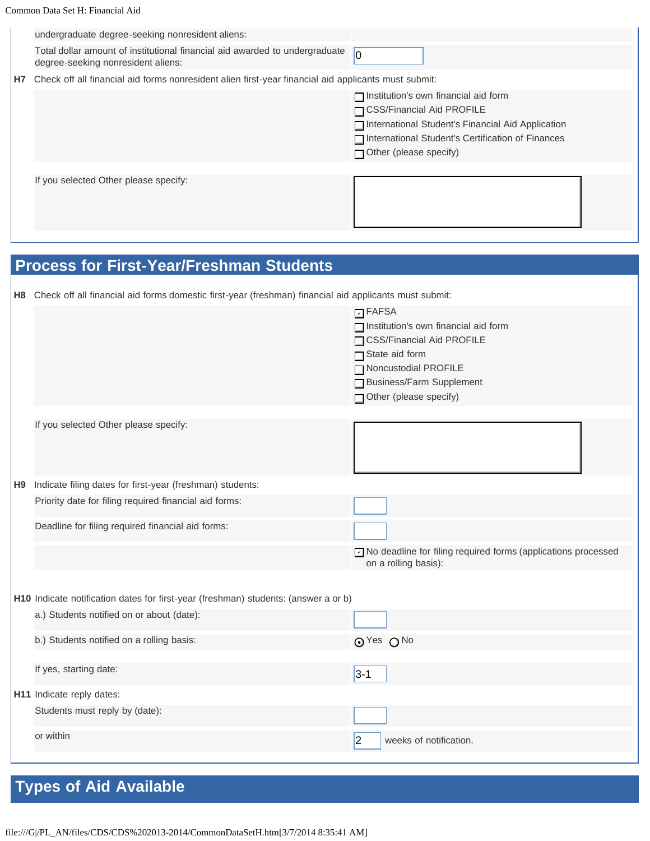#### Common Data Set H: Financial Aid

|           | undergraduate degree-seeking nonresident aliens:                                                                  |                                                                                                                                                                                                                    |
|-----------|-------------------------------------------------------------------------------------------------------------------|--------------------------------------------------------------------------------------------------------------------------------------------------------------------------------------------------------------------|
|           | Total dollar amount of institutional financial aid awarded to undergraduate<br>degree-seeking nonresident aliens: | 0                                                                                                                                                                                                                  |
| <b>H7</b> | Check off all financial aid forms nonresident alien first-year financial aid applicants must submit:              |                                                                                                                                                                                                                    |
|           |                                                                                                                   | Institution's own financial aid form<br>□ CSS/Financial Aid PROFILE<br>□ International Student's Financial Aid Application<br>□ International Student's Certification of Finances<br>$\Box$ Other (please specify) |
|           | If you selected Other please specify:                                                                             |                                                                                                                                                                                                                    |

# **Process for First-Year/Freshman Students**

|  | H8 Check off all financial aid forms domestic first-year (freshman) financial aid applicants must submit: |  |  |  |  |  |  |  |  |  |  |
|--|-----------------------------------------------------------------------------------------------------------|--|--|--|--|--|--|--|--|--|--|
|--|-----------------------------------------------------------------------------------------------------------|--|--|--|--|--|--|--|--|--|--|

|                                                                                     | $\Box$ FAFSA<br>Institution's own financial aid form<br>□ CSS/Financial Aid PROFILE<br>State aid form<br>Noncustodial PROFILE<br>Business/Farm Supplement<br>Other (please specify) |
|-------------------------------------------------------------------------------------|-------------------------------------------------------------------------------------------------------------------------------------------------------------------------------------|
| If you selected Other please specify:                                               |                                                                                                                                                                                     |
| H9 Indicate filing dates for first-year (freshman) students:                        |                                                                                                                                                                                     |
| Priority date for filing required financial aid forms:                              |                                                                                                                                                                                     |
| Deadline for filing required financial aid forms:                                   |                                                                                                                                                                                     |
|                                                                                     | 7 No deadline for filing required forms (applications processed<br>on a rolling basis):                                                                                             |
| H10 Indicate notification dates for first-year (freshman) students: (answer a or b) |                                                                                                                                                                                     |
| a.) Students notified on or about (date):                                           |                                                                                                                                                                                     |
| b.) Students notified on a rolling basis:                                           | $O$ Yes $O$ No                                                                                                                                                                      |
| If yes, starting date:                                                              | $3 - 1$                                                                                                                                                                             |
| H11 Indicate reply dates:                                                           |                                                                                                                                                                                     |
| Students must reply by (date):                                                      |                                                                                                                                                                                     |
| or within                                                                           | $\overline{2}$<br>weeks of notification.                                                                                                                                            |
|                                                                                     |                                                                                                                                                                                     |

# **Types of Aid Available**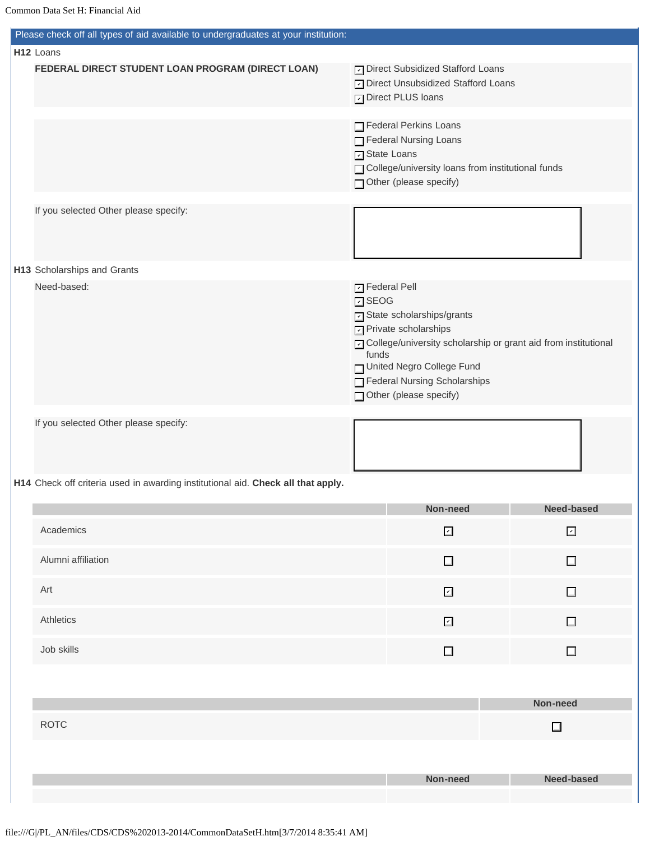| Please check off all types of aid available to undergraduates at your institution: |                                        |                                                                                                                                                                                                           |                       |
|------------------------------------------------------------------------------------|----------------------------------------|-----------------------------------------------------------------------------------------------------------------------------------------------------------------------------------------------------------|-----------------------|
| H12 Loans                                                                          |                                        |                                                                                                                                                                                                           |                       |
| FEDERAL DIRECT STUDENT LOAN PROGRAM (DIRECT LOAN)                                  |                                        | Direct Subsidized Stafford Loans<br>Direct Unsubsidized Stafford Loans<br>Direct PLUS loans                                                                                                               |                       |
|                                                                                    |                                        | Federal Perkins Loans<br>Federal Nursing Loans<br>State Loans<br>□ College/university loans from institutional funds<br>Other (please specify)                                                            |                       |
| If you selected Other please specify:                                              |                                        |                                                                                                                                                                                                           |                       |
| H13 Scholarships and Grants                                                        |                                        |                                                                                                                                                                                                           |                       |
| Need-based:                                                                        | Federal Pell<br><b>D</b> SEOG<br>funds | State scholarships/grants<br>Private scholarships<br>Ollege/university scholarship or grant aid from institutional<br>United Negro College Fund<br>Federal Nursing Scholarships<br>Other (please specify) |                       |
| If you selected Other please specify:                                              |                                        |                                                                                                                                                                                                           |                       |
| H14 Check off criteria used in awarding institutional aid. Check all that apply.   |                                        |                                                                                                                                                                                                           |                       |
|                                                                                    |                                        | Non-need                                                                                                                                                                                                  | Need-based            |
| Academics                                                                          |                                        | $\overline{\mathbb{Z}}$                                                                                                                                                                                   | $\boxed{\mathcal{L}}$ |
| Alumni affiliation                                                                 |                                        | $\Box$                                                                                                                                                                                                    | $\Box$                |
| Art                                                                                |                                        | $\overline{\mathbb{Z}}$                                                                                                                                                                                   | $\Box$                |
| Athletics                                                                          |                                        | $\sqrt{2}$                                                                                                                                                                                                | $\Box$                |
| Job skills                                                                         |                                        | $\Box$                                                                                                                                                                                                    | $\Box$                |
|                                                                                    |                                        |                                                                                                                                                                                                           |                       |
|                                                                                    |                                        |                                                                                                                                                                                                           | Non-need              |
| <b>ROTC</b>                                                                        |                                        |                                                                                                                                                                                                           | $\Box$                |
|                                                                                    |                                        |                                                                                                                                                                                                           |                       |
|                                                                                    |                                        | Non-need                                                                                                                                                                                                  | <b>Need-based</b>     |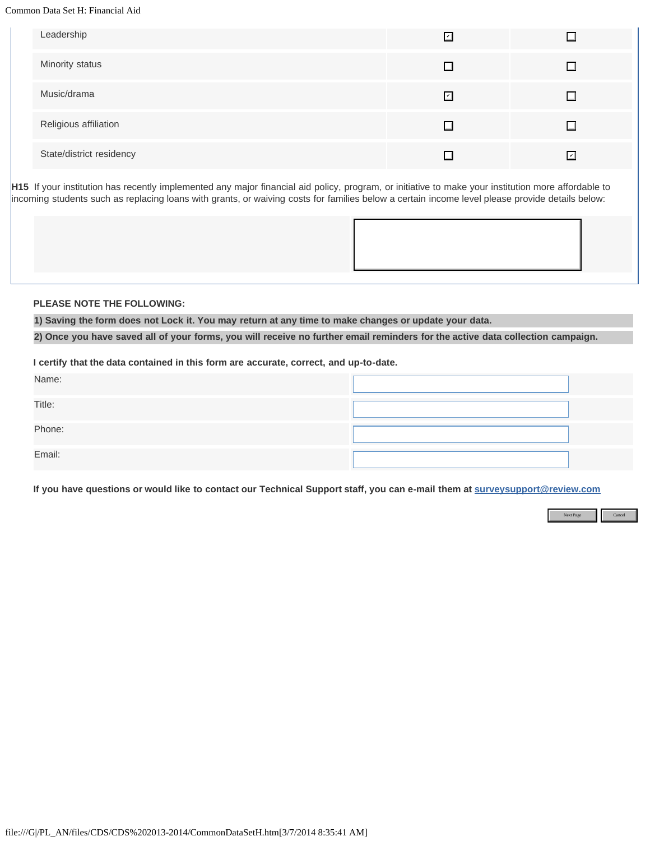#### Common Data Set H: Financial Aid

| Leadership               | ☑      | $\Box$ |
|--------------------------|--------|--------|
| Minority status          | $\Box$ | $\Box$ |
| Music/drama              | ☑      |        |
| Religious affiliation    |        |        |
| State/district residency |        | ☑      |

**H15** If your institution has recently implemented any major financial aid policy, program, or initiative to make your institution more affordable to incoming students such as replacing loans with grants, or waiving costs for families below a certain income level please provide details below:

### **PLEASE NOTE THE FOLLOWING:**

**1) Saving the form does not Lock it. You may return at any time to make changes or update your data.**

**2) Once you have saved all of your forms, you will receive no further email reminders for the active data collection campaign.**

**I certify that the data contained in this form are accurate, correct, and up-to-date.**

| Name:  |  |
|--------|--|
| Title: |  |
| Phone: |  |
| Email: |  |

**If you have questions or would like to contact our Technical Support staff, you can e-mail them at [surveysupport@review.com](mailto:surveysupport@review.com)**

Next Page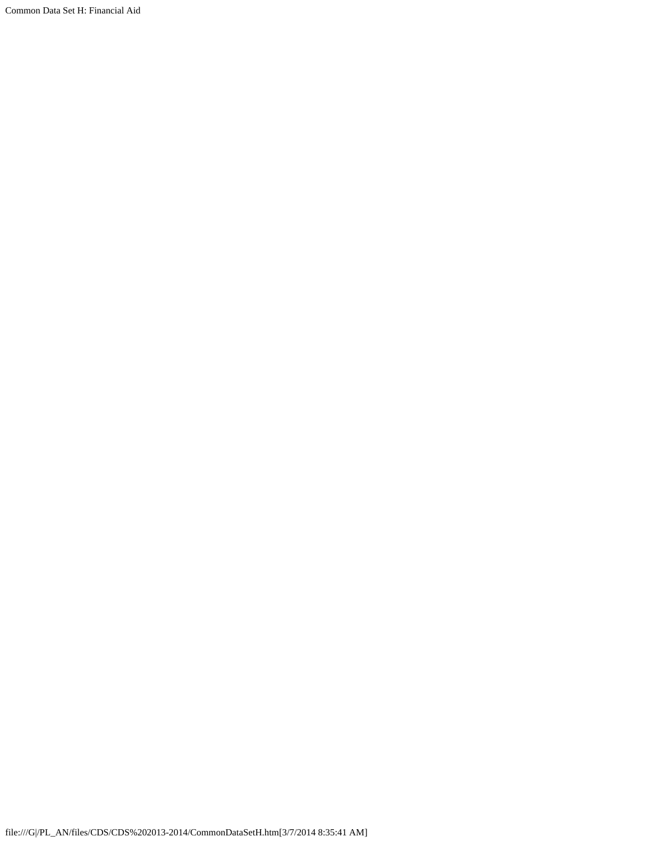Common Data Set H: Financial Aid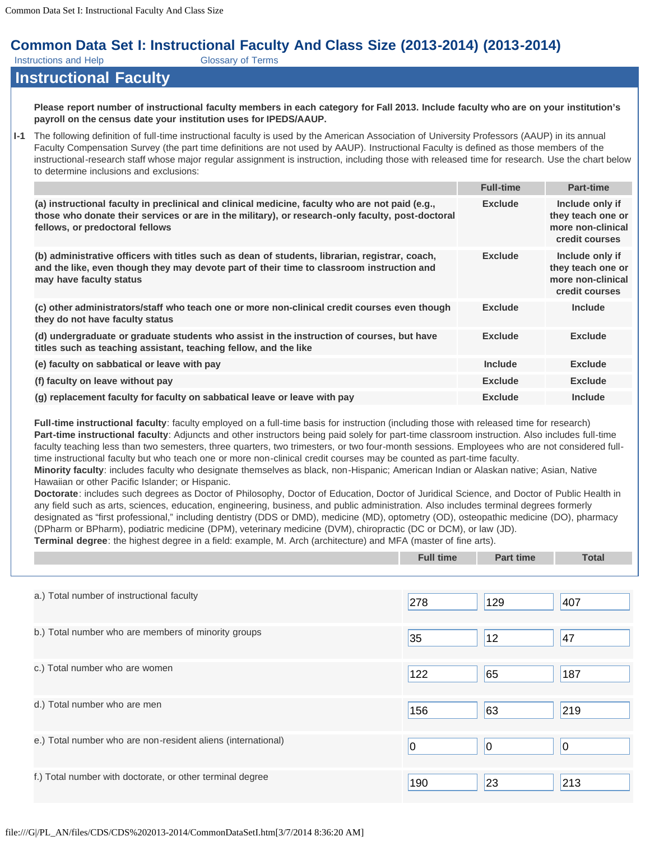## **Common Data Set I: Instructional Faculty And Class Size (2013-2014) (2013-2014)**

[Instructions and Help](javascript:;) [Glossary of Terms](javascript:;)

### **Instructional Faculty**

**Please report number of instructional faculty members in each category for Fall 2013. Include faculty who are on your institution's payroll on the census date your institution uses for IPEDS/AAUP.**

**I-1** The following definition of full-time instructional faculty is used by the American Association of University Professors (AAUP) in its annual Faculty Compensation Survey (the part time definitions are not used by AAUP). Instructional Faculty is defined as those members of the instructional-research staff whose major regular assignment is instruction, including those with released time for research. Use the chart below to determine inclusions and exclusions:

|                                                                                                                                                                                                                                        | <b>Full-time</b> | <b>Part-time</b>                                                            |
|----------------------------------------------------------------------------------------------------------------------------------------------------------------------------------------------------------------------------------------|------------------|-----------------------------------------------------------------------------|
| (a) instructional faculty in preclinical and clinical medicine, faculty who are not paid (e.g.,<br>those who donate their services or are in the military), or research-only faculty, post-doctoral<br>fellows, or predoctoral fellows | <b>Exclude</b>   | Include only if<br>they teach one or<br>more non-clinical<br>credit courses |
| (b) administrative officers with titles such as dean of students, librarian, registrar, coach,<br>and the like, even though they may devote part of their time to classroom instruction and<br>may have faculty status                 | Exclude          | Include only if<br>they teach one or<br>more non-clinical<br>credit courses |
| (c) other administrators/staff who teach one or more non-clinical credit courses even though<br>they do not have faculty status                                                                                                        | <b>Exclude</b>   | <b>Include</b>                                                              |
| (d) undergraduate or graduate students who assist in the instruction of courses, but have<br>titles such as teaching assistant, teaching fellow, and the like                                                                          | <b>Exclude</b>   | <b>Exclude</b>                                                              |
| (e) faculty on sabbatical or leave with pay                                                                                                                                                                                            | <b>Include</b>   | <b>Exclude</b>                                                              |
| (f) faculty on leave without pay                                                                                                                                                                                                       | <b>Exclude</b>   | <b>Exclude</b>                                                              |
| (g) replacement faculty for faculty on sabbatical leave or leave with pay                                                                                                                                                              | <b>Exclude</b>   | <b>Include</b>                                                              |

**Full-time instructional faculty**: faculty employed on a full-time basis for instruction (including those with released time for research) **Part-time instructional faculty**: Adjuncts and other instructors being paid solely for part-time classroom instruction. Also includes full-time faculty teaching less than two semesters, three quarters, two trimesters, or two four-month sessions. Employees who are not considered fulltime instructional faculty but who teach one or more non-clinical credit courses may be counted as part-time faculty.

**Minority faculty**: includes faculty who designate themselves as black, non-Hispanic; American Indian or Alaskan native; Asian, Native Hawaiian or other Pacific Islander; or Hispanic.

**Doctorate**: includes such degrees as Doctor of Philosophy, Doctor of Education, Doctor of Juridical Science, and Doctor of Public Health in any field such as arts, sciences, education, engineering, business, and public administration. Also includes terminal degrees formerly designated as "first professional," including dentistry (DDS or DMD), medicine (MD), optometry (OD), osteopathic medicine (DO), pharmacy (DPharm or BPharm), podiatric medicine (DPM), veterinary medicine (DVM), chiropractic (DC or DCM), or law (JD). **Terminal degree**: the highest degree in a field: example, M. Arch (architecture) and MFA (master of fine arts).

|                                                              | <b>Full time</b> | <b>Part time</b> | <b>Total</b> |
|--------------------------------------------------------------|------------------|------------------|--------------|
| a.) Total number of instructional faculty                    |                  |                  |              |
|                                                              | 278              | 129              | 407          |
| b.) Total number who are members of minority groups          | 35               | 12               | 47           |
| c.) Total number who are women                               | 122              | 65               | 187          |
| d.) Total number who are men                                 | 156              | 63               | 219          |
| e.) Total number who are non-resident aliens (international) | 10               | 10               | 0            |
| f.) Total number with doctorate, or other terminal degree    | 190              | 23               | 213          |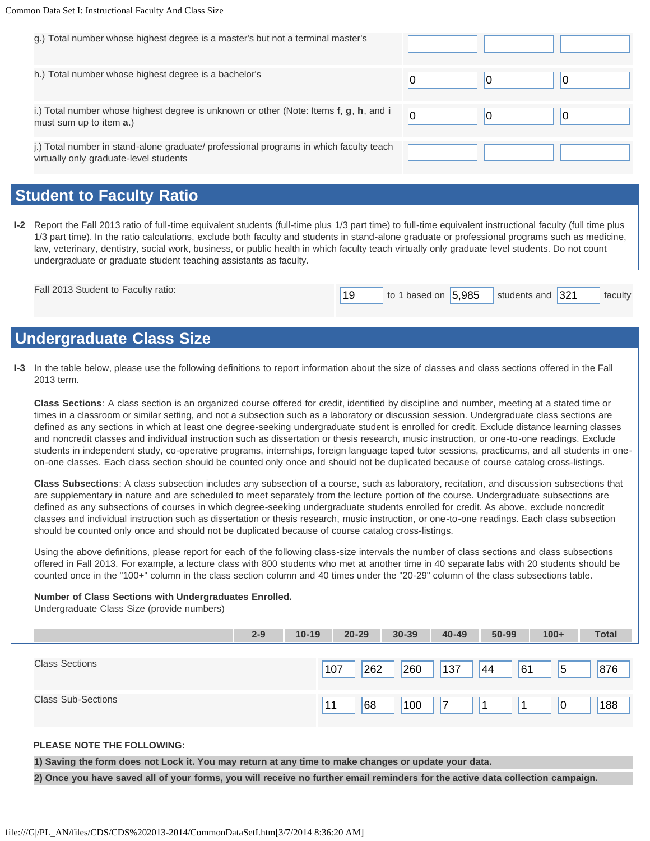| g.) Total number whose highest degree is a master's but not a terminal master's                                                  |   |
|----------------------------------------------------------------------------------------------------------------------------------|---|
| h.) Total number whose highest degree is a bachelor's                                                                            | 0 |
| i.) Total number whose highest degree is unknown or other (Note: Items f, g, h, and i<br>must sum up to item a.)                 |   |
| j.) Total number in stand-alone graduate/ professional programs in which faculty teach<br>virtually only graduate-level students |   |

### **Student to Faculty Ratio**

**I-2** Report the Fall 2013 ratio of full-time equivalent students (full-time plus 1/3 part time) to full-time equivalent instructional faculty (full time plus 1/3 part time). In the ratio calculations, exclude both faculty and students in stand-alone graduate or professional programs such as medicine, law, veterinary, dentistry, social work, business, or public health in which faculty teach virtually only graduate level students. Do not count undergraduate or graduate student teaching assistants as faculty.

to 1 based on  $5,985$ 

Fall 2013 Student to Faculty ratio:  $\sqrt{19}$  to 1 based on  $\sqrt{5.985}$  students and  $\sqrt{321}$  faculty

### **Undergraduate Class Size**

**I-3** In the table below, please use the following definitions to report information about the size of classes and class sections offered in the Fall 2013 term.

**Class Sections**: A class section is an organized course offered for credit, identified by discipline and number, meeting at a stated time or times in a classroom or similar setting, and not a subsection such as a laboratory or discussion session. Undergraduate class sections are defined as any sections in which at least one degree-seeking undergraduate student is enrolled for credit. Exclude distance learning classes and noncredit classes and individual instruction such as dissertation or thesis research, music instruction, or one-to-one readings. Exclude students in independent study, co-operative programs, internships, foreign language taped tutor sessions, practicums, and all students in oneon-one classes. Each class section should be counted only once and should not be duplicated because of course catalog cross-listings.

**Class Subsections**: A class subsection includes any subsection of a course, such as laboratory, recitation, and discussion subsections that are supplementary in nature and are scheduled to meet separately from the lecture portion of the course. Undergraduate subsections are defined as any subsections of courses in which degree-seeking undergraduate students enrolled for credit. As above, exclude noncredit classes and individual instruction such as dissertation or thesis research, music instruction, or one-to-one readings. Each class subsection should be counted only once and should not be duplicated because of course catalog cross-listings.

Using the above definitions, please report for each of the following class-size intervals the number of class sections and class subsections offered in Fall 2013. For example, a lecture class with 800 students who met at another time in 40 separate labs with 20 students should be counted once in the "100+" column in the class section column and 40 times under the "20-29" column of the class subsections table.

#### **Number of Class Sections with Undergraduates Enrolled.**

Undergraduate Class Size (provide numbers)

|                           | $2 - 9$ | $10 - 19$ | $20 - 29$  | $30 - 39$ | $40 - 49$ | 50-99    | $100+$ | <b>Total</b> |
|---------------------------|---------|-----------|------------|-----------|-----------|----------|--------|--------------|
| <b>Class Sections</b>     |         |           | 107<br>262 | 260       | 137       | 44<br>61 | 5      | 876          |
| <b>Class Sub-Sections</b> |         | 11        | 68         | 100       | 7         | и        | 10     | 188          |

#### **PLEASE NOTE THE FOLLOWING:**

**1) Saving the form does not Lock it. You may return at any time to make changes or update your data. 2) Once you have saved all of your forms, you will receive no further email reminders for the active data collection campaign.**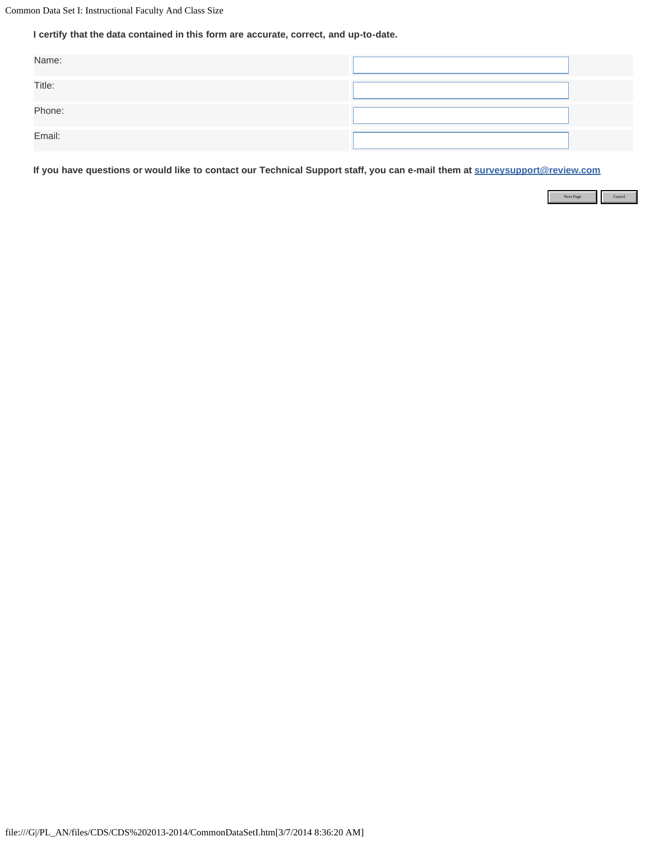Common Data Set I: Instructional Faculty And Class Size

**I certify that the data contained in this form are accurate, correct, and up-to-date.**

| Name:  |  |
|--------|--|
| Title: |  |
| Phone: |  |
| Email: |  |

**If you have questions or would like to contact our Technical Support staff, you can e-mail them at [surveysupport@review.com](mailto:surveysupport@review.com)**

Next Page **Cancel**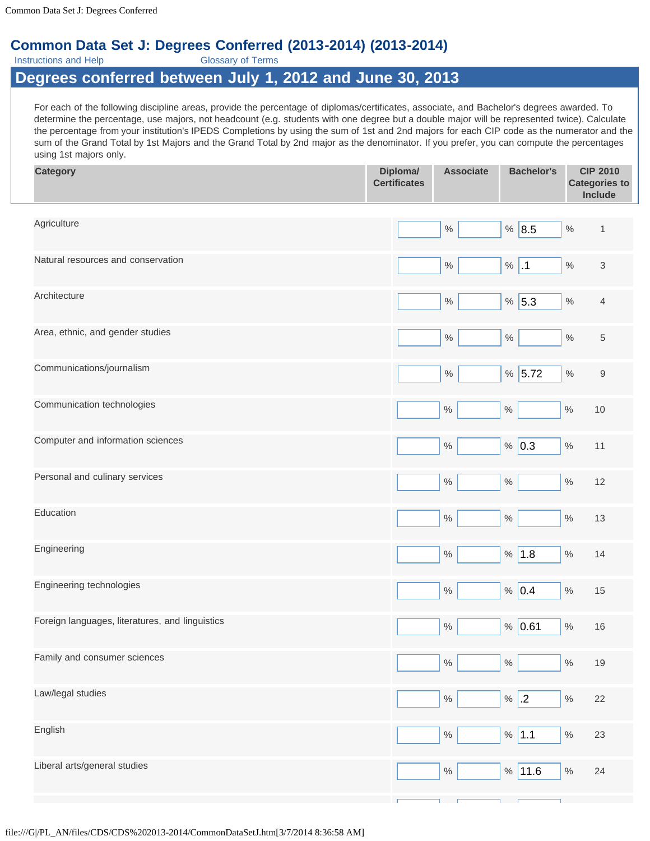### **Common Data Set J: Degrees Conferred (2013-2014) (2013-2014)**

[Instructions and Help](javascript:;) [Glossary of Terms](javascript:;)

### **Degrees conferred between July 1, 2012 and June 30, 2013**

For each of the following discipline areas, provide the percentage of diplomas/certificates, associate, and Bachelor's degrees awarded. To determine the percentage, use majors, not headcount (e.g. students with one degree but a double major will be represented twice). Calculate the percentage from your institution's IPEDS Completions by using the sum of 1st and 2nd majors for each CIP code as the numerator and the sum of the Grand Total by 1st Majors and the Grand Total by 2nd major as the denominator. If you prefer, you can compute the percentages using 1st majors only.

| <b>Category</b>                                 | Diploma/<br><b>Certificates</b> | <b>Associate</b> | <b>Bachelor's</b>       | <b>CIP 2010</b><br><b>Categories to</b><br>Include |
|-------------------------------------------------|---------------------------------|------------------|-------------------------|----------------------------------------------------|
| Agriculture                                     |                                 | $\%$             | % 8.5                   | $\%$<br>$\mathbf{1}$                               |
| Natural resources and conservation              |                                 | $\%$             | $\%$<br>$\vert .1$      | $\%$<br>$\ensuremath{\mathsf{3}}$                  |
| Architecture                                    |                                 | $\%$             | % 5.3                   | $\%$<br>$\overline{4}$                             |
| Area, ethnic, and gender studies                |                                 | $\%$             | $\%$                    | $\%$<br>$\,$ 5 $\,$                                |
| Communications/journalism                       |                                 | $\%$             | % $5.72$                | $\%$<br>$\hbox{9}$                                 |
| Communication technologies                      |                                 | $\%$             | $\%$                    | $\%$<br>$10$                                       |
| Computer and information sciences               |                                 | $\%$             | 0.3 <br>$\%$            | $\%$<br>11                                         |
| Personal and culinary services                  |                                 | $\%$             | $\%$                    | $\%$<br>12                                         |
| Education                                       |                                 | $\%$             | $\%$                    | $\%$<br>13                                         |
| Engineering                                     |                                 | $\%$             | 1.8<br>$\%$             | $\%$<br>14                                         |
| Engineering technologies                        |                                 | $\%$             | $\%$<br> 0.4            | $\%$<br>15                                         |
| Foreign languages, literatures, and linguistics |                                 | $\%$             | $\%$<br>0.61            | $\%$<br>16                                         |
| Family and consumer sciences                    |                                 | $\%$             | $\%$                    | $\frac{1}{2}$<br>19                                |
| Law/legal studies                               |                                 | $\%$             | $\overline{.2}$<br>$\%$ | $\frac{1}{2}$<br>22                                |
| English                                         |                                 | $\%$             | 1.1 <br>$\%$            | $\%$<br>23                                         |
| Liberal arts/general studies                    |                                 | $\%$             | % 11.6                  | $\%$<br>24                                         |
|                                                 |                                 |                  |                         |                                                    |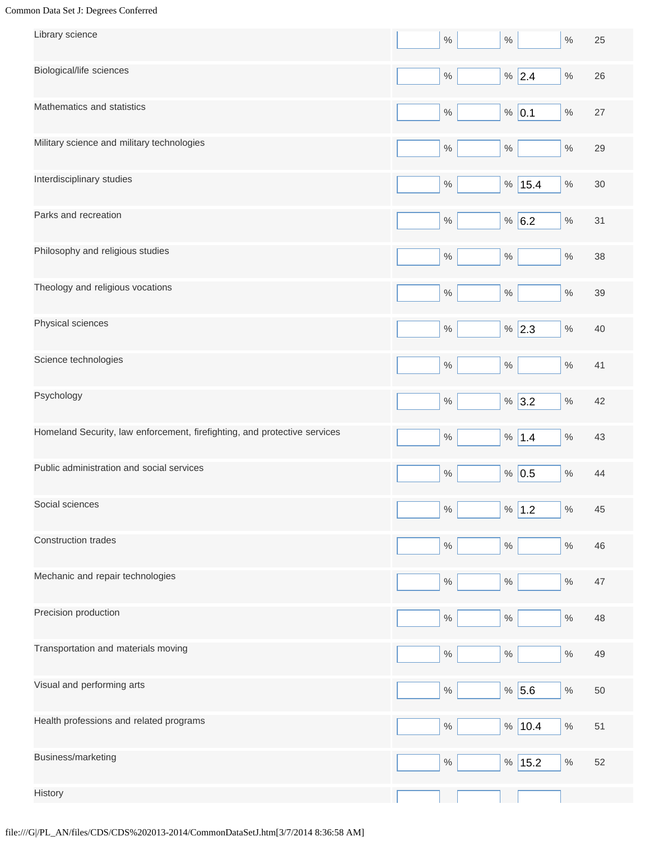### Common Data Set J: Degrees Conferred

| Library science                                                           | $\%$ | $\%$ |         | $\%$          | 25 |
|---------------------------------------------------------------------------|------|------|---------|---------------|----|
| Biological/life sciences                                                  | $\%$ |      | % 2.4   | $\%$          | 26 |
| Mathematics and statistics                                                | $\%$ | $\%$ | 0.1     | $\%$          | 27 |
| Military science and military technologies                                | $\%$ | $\%$ |         | $\%$          | 29 |
| Interdisciplinary studies                                                 | $\%$ |      | % 15.4  | $\%$          | 30 |
| Parks and recreation                                                      | $\%$ | $\%$ | 6.2     | $\%$          | 31 |
| Philosophy and religious studies                                          | $\%$ | $\%$ |         | $\%$          | 38 |
| Theology and religious vocations                                          | $\%$ | $\%$ |         | $\%$          | 39 |
| Physical sciences                                                         | $\%$ |      | % 2.3   | $\%$          | 40 |
| Science technologies                                                      | $\%$ | $\%$ |         | $\%$          | 41 |
| Psychology                                                                | $\%$ |      | % 3.2   | $\%$          | 42 |
| Homeland Security, law enforcement, firefighting, and protective services | $\%$ | $\%$ | 1.4     | $\%$          | 43 |
| Public administration and social services                                 | $\%$ | $\%$ | 0.5     | $\%$          | 44 |
| Social sciences                                                           | $\%$ |      | % 1.2   | $\frac{1}{2}$ | 45 |
| <b>Construction trades</b>                                                | $\%$ | $\%$ |         | $\%$          | 46 |
| Mechanic and repair technologies                                          | $\%$ | $\%$ |         | $\%$          | 47 |
| Precision production                                                      | $\%$ | $\%$ |         | $\%$          | 48 |
| Transportation and materials moving                                       | $\%$ | $\%$ |         | $\%$          | 49 |
| Visual and performing arts                                                | $\%$ |      | % $5.6$ | $\%$          | 50 |
| Health professions and related programs                                   | $\%$ |      | % 10.4  | $\%$          | 51 |
| Business/marketing                                                        | $\%$ | $\%$ | $15.2$  | $\%$          | 52 |
| History                                                                   |      |      |         |               |    |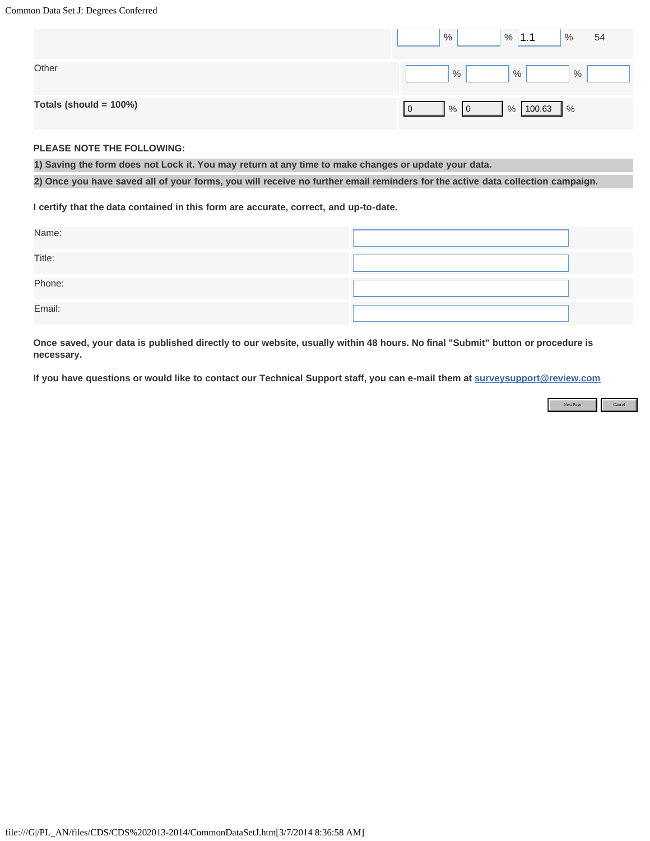|                            | $\%$<br>$\%$<br>$\%$<br>54<br>1.1                      |
|----------------------------|--------------------------------------------------------|
| Other                      | $\%$<br>$\%$<br>$\%$                                   |
| Totals (should = $100\%$ ) | 100.63<br>$\frac{9}{6}$<br>$\%$<br>%<br>$\overline{0}$ |

### **PLEASE NOTE THE FOLLOWING:**

**1) Saving the form does not Lock it. You may return at any time to make changes or update your data.**

**2) Once you have saved all of your forms, you will receive no further email reminders for the active data collection campaign.**

**I certify that the data contained in this form are accurate, correct, and up-to-date.**

| Name:  |  |
|--------|--|
| Title: |  |
| Phone: |  |
| Email: |  |

**Once saved, your data is published directly to our website, usually within 48 hours. No final "Submit" button or procedure is necessary.**

**If you have questions or would like to contact our Technical Support staff, you can e-mail them at [surveysupport@review.com](mailto:surveysupport@review.com)**

Next Page Cancel